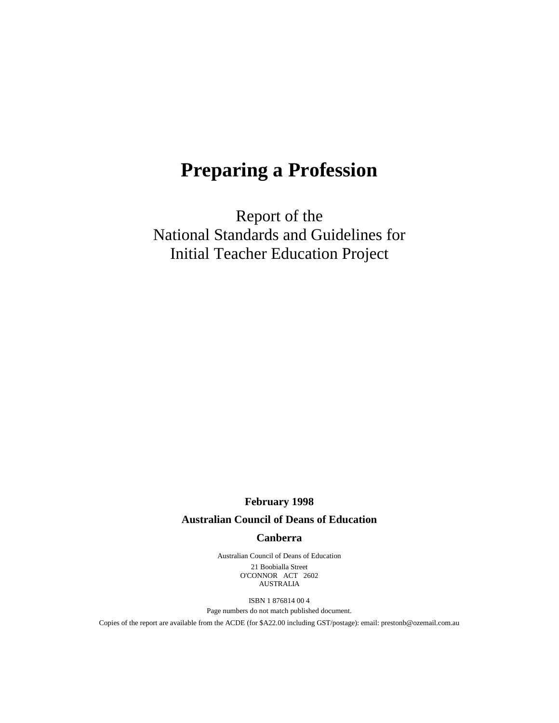# **Preparing a Profession**

Report of the National Standards and Guidelines for Initial Teacher Education Project

**February 1998**

## **Australian Council of Deans of Education**

#### **Canberra**

Australian Council of Deans of Education 21 Boobialla Street O'CONNOR ACT 2602 AUSTRALIA

ISBN 1 876814 00 4

Page numbers do not match published document.

Copies of the report are available from the ACDE (for \$A22.00 including GST/postage): email: prestonb@ozemail.com.au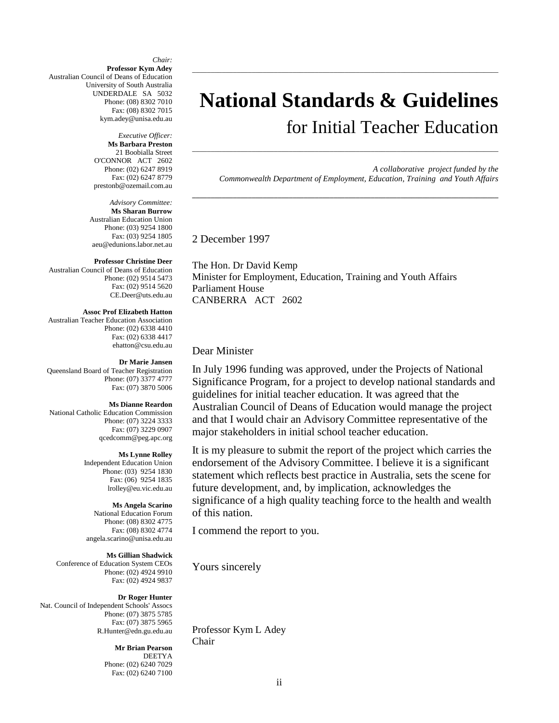*Chair:* **Professor Kym Adey** Australian Council of Deans of Education University of South Australia UNDERDALE SA 5032 Phone: (08) 8302 7010 Fax: (08) 8302 7015 kym.adey@unisa.edu.au

> *Executive Officer:* **Ms Barbara Preston** 21 Boobialla Street O'CONNOR ACT 2602 Phone: (02) 6247 8919 Fax: (02) 6247 8779 prestonb@ozemail.com.au

*Advisory Committee:* **Ms Sharan Burrow** Australian Education Union Phone: (03) 9254 1800 Fax: (03) 9254 1805 aeu@edunions.labor.net.au

#### **Professor Christine Deer**

Australian Council of Deans of Education Phone: (02) 9514 5473 Fax: (02) 9514 5620 CE.Deer@uts.edu.au

#### **Assoc Prof Elizabeth Hatton**

Australian Teacher Education Association Phone: (02) 6338 4410 Fax: (02) 6338 4417 ehatton@csu.edu.au

#### **Dr Marie Jansen**

Queensland Board of Teacher Registration Phone: (07) 3377 4777 Fax: (07) 3870 5006

#### **Ms Dianne Reardon**

National Catholic Education Commission Phone: (07) 3224 3333 Fax: (07) 3229 0907 qcedcomm@peg.apc.org

#### **Ms Lynne Rolley**

Independent Education Union Phone: (03) 9254 1830 Fax: (06) 9254 1835 lrolley@eu.vic.edu.au

#### **Ms Angela Scarino**

National Education Forum Phone: (08) 8302 4775 Fax: (08) 8302 4774 angela.scarino@unisa.edu.au

#### **Ms Gillian Shadwick**

Conference of Education System CEOs Phone: (02) 4924 9910 Fax: (02) 4924 9837

#### **Dr Roger Hunter**

Nat. Council of Independent Schools' Assocs Phone: (07) 3875 5785 Fax: (07) 3875 5965 R.Hunter@edn.gu.edu.au

> **Mr Brian Pearson** DEETYA Phone: (02) 6240 7029 Fax: (02) 6240 7100

# **National Standards & Guidelines** for Initial Teacher Education

\_\_\_\_\_\_\_\_\_\_\_\_\_\_\_\_\_\_\_\_\_\_\_\_\_\_\_\_\_\_\_\_\_\_\_\_\_\_\_\_\_\_\_\_\_\_\_\_\_\_\_\_\_\_\_\_\_\_\_\_\_\_\_\_\_\_\_\_\_\_\_\_\_\_\_\_\_\_\_\_\_\_\_

**\_\_\_\_\_\_\_\_\_\_\_\_\_\_\_\_\_\_\_\_\_\_\_\_\_\_\_\_\_\_\_\_\_\_\_\_\_\_\_\_\_\_\_\_\_\_\_\_\_\_\_\_\_\_\_\_\_\_\_\_\_\_\_\_\_\_\_\_\_\_\_\_\_\_\_\_\_\_\_\_\_\_\_**

\_\_\_\_\_\_\_\_\_\_\_\_\_\_\_\_\_\_\_\_\_\_\_\_\_\_\_\_\_\_\_\_\_\_\_\_\_\_\_\_\_\_\_\_\_\_\_\_\_\_\_\_\_\_\_\_\_\_\_\_\_\_\_\_\_\_\_\_\_\_\_\_\_\_\_\_\_\_\_\_\_\_\_

*A collaborative project funded by the Commonwealth Department of Employment, Education, Training and Youth Affairs*

2 December 1997

The Hon. Dr David Kemp Minister for Employment, Education, Training and Youth Affairs Parliament House CANBERRA ACT 2602

#### Dear Minister

In July 1996 funding was approved, under the Projects of National Significance Program, for a project to develop national standards and guidelines for initial teacher education. It was agreed that the Australian Council of Deans of Education would manage the project and that I would chair an Advisory Committee representative of the major stakeholders in initial school teacher education.

It is my pleasure to submit the report of the project which carries the endorsement of the Advisory Committee. I believe it is a significant statement which reflects best practice in Australia, sets the scene for future development, and, by implication, acknowledges the significance of a high quality teaching force to the health and wealth of this nation.

I commend the report to you.

Yours sincerely

Professor Kym L Adey Chair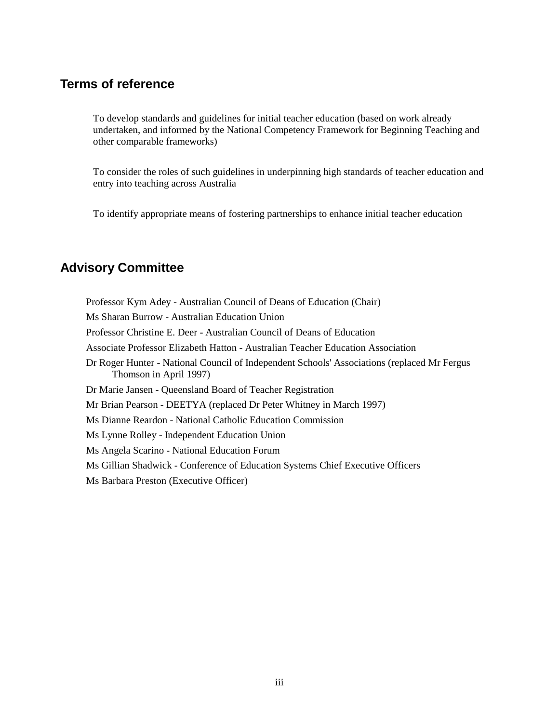# **Terms of reference**

To develop standards and guidelines for initial teacher education (based on work already undertaken, and informed by the National Competency Framework for Beginning Teaching and other comparable frameworks)

To consider the roles of such guidelines in underpinning high standards of teacher education and entry into teaching across Australia

To identify appropriate means of fostering partnerships to enhance initial teacher education

# **Advisory Committee**

Professor Kym Adey - Australian Council of Deans of Education (Chair) Ms Sharan Burrow - Australian Education Union Professor Christine E. Deer - Australian Council of Deans of Education Associate Professor Elizabeth Hatton - Australian Teacher Education Association Dr Roger Hunter - National Council of Independent Schools' Associations (replaced Mr Fergus Thomson in April 1997) Dr Marie Jansen - Queensland Board of Teacher Registration Mr Brian Pearson - DEETYA (replaced Dr Peter Whitney in March 1997) Ms Dianne Reardon - National Catholic Education Commission Ms Lynne Rolley - Independent Education Union Ms Angela Scarino - National Education Forum Ms Gillian Shadwick - Conference of Education Systems Chief Executive Officers Ms Barbara Preston (Executive Officer)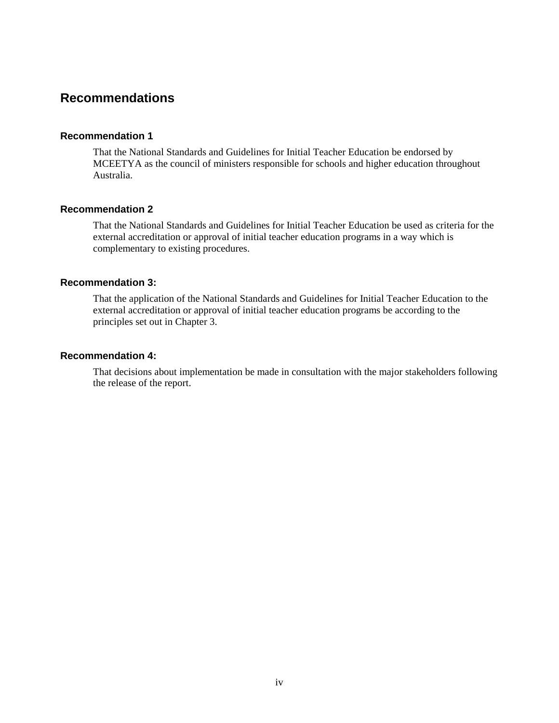# **Recommendations**

## **Recommendation 1**

That the National Standards and Guidelines for Initial Teacher Education be endorsed by MCEETYA as the council of ministers responsible for schools and higher education throughout Australia.

# **Recommendation 2**

That the National Standards and Guidelines for Initial Teacher Education be used as criteria for the external accreditation or approval of initial teacher education programs in a way which is complementary to existing procedures.

#### **Recommendation 3:**

That the application of the National Standards and Guidelines for Initial Teacher Education to the external accreditation or approval of initial teacher education programs be according to the principles set out in Chapter 3.

#### **Recommendation 4:**

That decisions about implementation be made in consultation with the major stakeholders following the release of the report.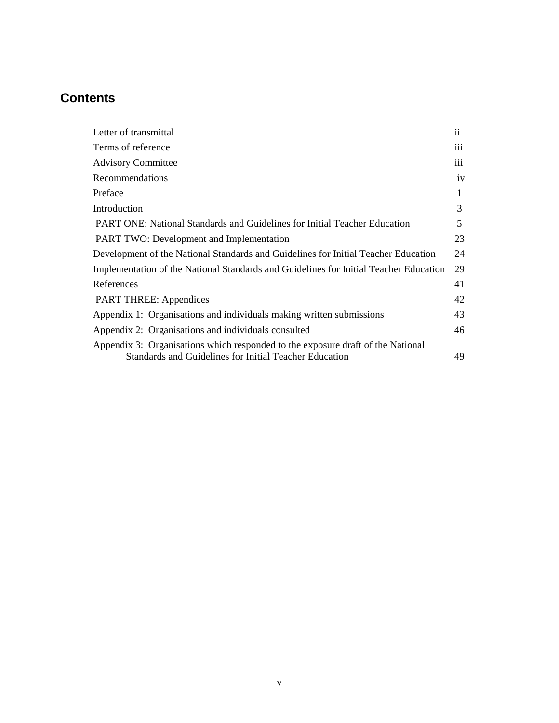# **Contents**

| Letter of transmittal                                                                                                                     | $\ddot{\rm n}$  |
|-------------------------------------------------------------------------------------------------------------------------------------------|-----------------|
| Terms of reference                                                                                                                        | $\cdots$<br>111 |
| <b>Advisory Committee</b>                                                                                                                 | 111             |
| <b>Recommendations</b>                                                                                                                    | iv              |
| Preface                                                                                                                                   | 1               |
| Introduction                                                                                                                              | 3               |
| <b>PART ONE: National Standards and Guidelines for Initial Teacher Education</b>                                                          | 5               |
| <b>PART TWO:</b> Development and Implementation                                                                                           | 23              |
| Development of the National Standards and Guidelines for Initial Teacher Education                                                        | 24              |
| Implementation of the National Standards and Guidelines for Initial Teacher Education                                                     | 29              |
| References                                                                                                                                | 41              |
| <b>PART THREE: Appendices</b>                                                                                                             | 42              |
| Appendix 1: Organisations and individuals making written submissions                                                                      | 43              |
| Appendix 2: Organisations and individuals consulted                                                                                       | 46              |
| Appendix 3: Organisations which responded to the exposure draft of the National<br>Standards and Guidelines for Initial Teacher Education | 49              |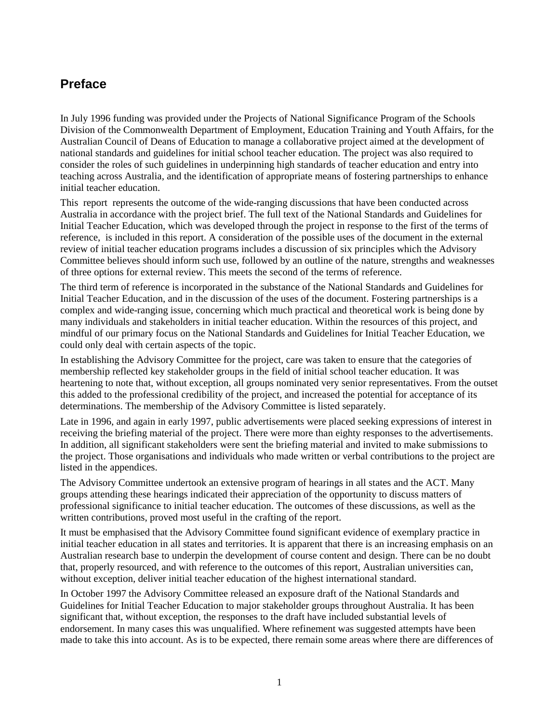# **Preface**

In July 1996 funding was provided under the Projects of National Significance Program of the Schools Division of the Commonwealth Department of Employment, Education Training and Youth Affairs, for the Australian Council of Deans of Education to manage a collaborative project aimed at the development of national standards and guidelines for initial school teacher education. The project was also required to consider the roles of such guidelines in underpinning high standards of teacher education and entry into teaching across Australia, and the identification of appropriate means of fostering partnerships to enhance initial teacher education.

This report represents the outcome of the wide-ranging discussions that have been conducted across Australia in accordance with the project brief. The full text of the National Standards and Guidelines for Initial Teacher Education, which was developed through the project in response to the first of the terms of reference, is included in this report. A consideration of the possible uses of the document in the external review of initial teacher education programs includes a discussion of six principles which the Advisory Committee believes should inform such use, followed by an outline of the nature, strengths and weaknesses of three options for external review. This meets the second of the terms of reference.

The third term of reference is incorporated in the substance of the National Standards and Guidelines for Initial Teacher Education, and in the discussion of the uses of the document. Fostering partnerships is a complex and wide-ranging issue, concerning which much practical and theoretical work is being done by many individuals and stakeholders in initial teacher education. Within the resources of this project, and mindful of our primary focus on the National Standards and Guidelines for Initial Teacher Education, we could only deal with certain aspects of the topic.

In establishing the Advisory Committee for the project, care was taken to ensure that the categories of membership reflected key stakeholder groups in the field of initial school teacher education. It was heartening to note that, without exception, all groups nominated very senior representatives. From the outset this added to the professional credibility of the project, and increased the potential for acceptance of its determinations. The membership of the Advisory Committee is listed separately.

Late in 1996, and again in early 1997, public advertisements were placed seeking expressions of interest in receiving the briefing material of the project. There were more than eighty responses to the advertisements. In addition, all significant stakeholders were sent the briefing material and invited to make submissions to the project. Those organisations and individuals who made written or verbal contributions to the project are listed in the appendices.

The Advisory Committee undertook an extensive program of hearings in all states and the ACT. Many groups attending these hearings indicated their appreciation of the opportunity to discuss matters of professional significance to initial teacher education. The outcomes of these discussions, as well as the written contributions, proved most useful in the crafting of the report.

It must be emphasised that the Advisory Committee found significant evidence of exemplary practice in initial teacher education in all states and territories. It is apparent that there is an increasing emphasis on an Australian research base to underpin the development of course content and design. There can be no doubt that, properly resourced, and with reference to the outcomes of this report, Australian universities can, without exception, deliver initial teacher education of the highest international standard.

In October 1997 the Advisory Committee released an exposure draft of the National Standards and Guidelines for Initial Teacher Education to major stakeholder groups throughout Australia. It has been significant that, without exception, the responses to the draft have included substantial levels of endorsement. In many cases this was unqualified. Where refinement was suggested attempts have been made to take this into account. As is to be expected, there remain some areas where there are differences of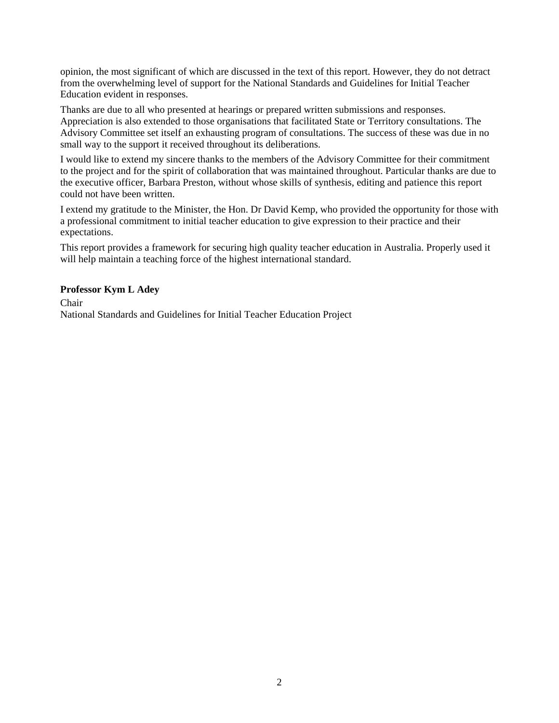opinion, the most significant of which are discussed in the text of this report. However, they do not detract from the overwhelming level of support for the National Standards and Guidelines for Initial Teacher Education evident in responses.

Thanks are due to all who presented at hearings or prepared written submissions and responses. Appreciation is also extended to those organisations that facilitated State or Territory consultations. The Advisory Committee set itself an exhausting program of consultations. The success of these was due in no small way to the support it received throughout its deliberations.

I would like to extend my sincere thanks to the members of the Advisory Committee for their commitment to the project and for the spirit of collaboration that was maintained throughout. Particular thanks are due to the executive officer, Barbara Preston, without whose skills of synthesis, editing and patience this report could not have been written.

I extend my gratitude to the Minister, the Hon. Dr David Kemp, who provided the opportunity for those with a professional commitment to initial teacher education to give expression to their practice and their expectations.

This report provides a framework for securing high quality teacher education in Australia. Properly used it will help maintain a teaching force of the highest international standard.

## **Professor Kym L Adey**

Chair National Standards and Guidelines for Initial Teacher Education Project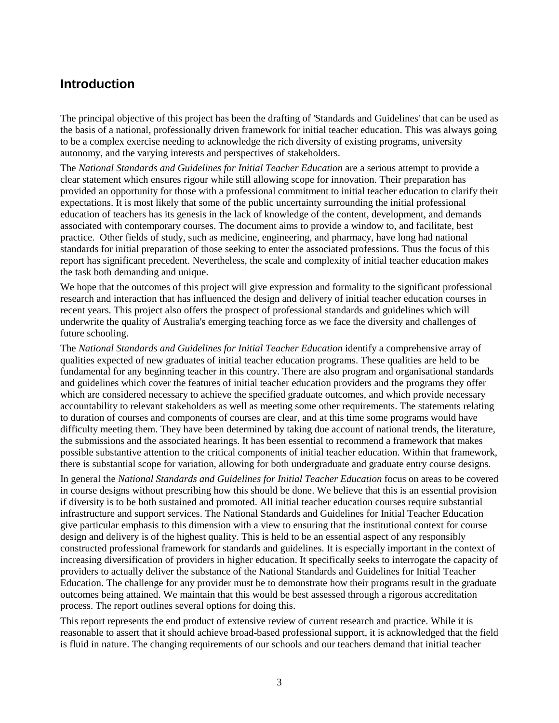# **Introduction**

The principal objective of this project has been the drafting of 'Standards and Guidelines' that can be used as the basis of a national, professionally driven framework for initial teacher education. This was always going to be a complex exercise needing to acknowledge the rich diversity of existing programs, university autonomy, and the varying interests and perspectives of stakeholders.

The *National Standards and Guidelines for Initial Teacher Education* are a serious attempt to provide a clear statement which ensures rigour while still allowing scope for innovation. Their preparation has provided an opportunity for those with a professional commitment to initial teacher education to clarify their expectations. It is most likely that some of the public uncertainty surrounding the initial professional education of teachers has its genesis in the lack of knowledge of the content, development, and demands associated with contemporary courses. The document aims to provide a window to, and facilitate, best practice. Other fields of study, such as medicine, engineering, and pharmacy, have long had national standards for initial preparation of those seeking to enter the associated professions. Thus the focus of this report has significant precedent. Nevertheless, the scale and complexity of initial teacher education makes the task both demanding and unique.

We hope that the outcomes of this project will give expression and formality to the significant professional research and interaction that has influenced the design and delivery of initial teacher education courses in recent years. This project also offers the prospect of professional standards and guidelines which will underwrite the quality of Australia's emerging teaching force as we face the diversity and challenges of future schooling.

The *National Standards and Guidelines for Initial Teacher Education* identify a comprehensive array of qualities expected of new graduates of initial teacher education programs. These qualities are held to be fundamental for any beginning teacher in this country. There are also program and organisational standards and guidelines which cover the features of initial teacher education providers and the programs they offer which are considered necessary to achieve the specified graduate outcomes, and which provide necessary accountability to relevant stakeholders as well as meeting some other requirements. The statements relating to duration of courses and components of courses are clear, and at this time some programs would have difficulty meeting them. They have been determined by taking due account of national trends, the literature, the submissions and the associated hearings. It has been essential to recommend a framework that makes possible substantive attention to the critical components of initial teacher education. Within that framework, there is substantial scope for variation, allowing for both undergraduate and graduate entry course designs.

In general the *National Standards and Guidelines for Initial Teacher Education* focus on areas to be covered in course designs without prescribing how this should be done. We believe that this is an essential provision if diversity is to be both sustained and promoted. All initial teacher education courses require substantial infrastructure and support services. The National Standards and Guidelines for Initial Teacher Education give particular emphasis to this dimension with a view to ensuring that the institutional context for course design and delivery is of the highest quality. This is held to be an essential aspect of any responsibly constructed professional framework for standards and guidelines. It is especially important in the context of increasing diversification of providers in higher education. It specifically seeks to interrogate the capacity of providers to actually deliver the substance of the National Standards and Guidelines for Initial Teacher Education. The challenge for any provider must be to demonstrate how their programs result in the graduate outcomes being attained. We maintain that this would be best assessed through a rigorous accreditation process. The report outlines several options for doing this.

This report represents the end product of extensive review of current research and practice. While it is reasonable to assert that it should achieve broad-based professional support, it is acknowledged that the field is fluid in nature. The changing requirements of our schools and our teachers demand that initial teacher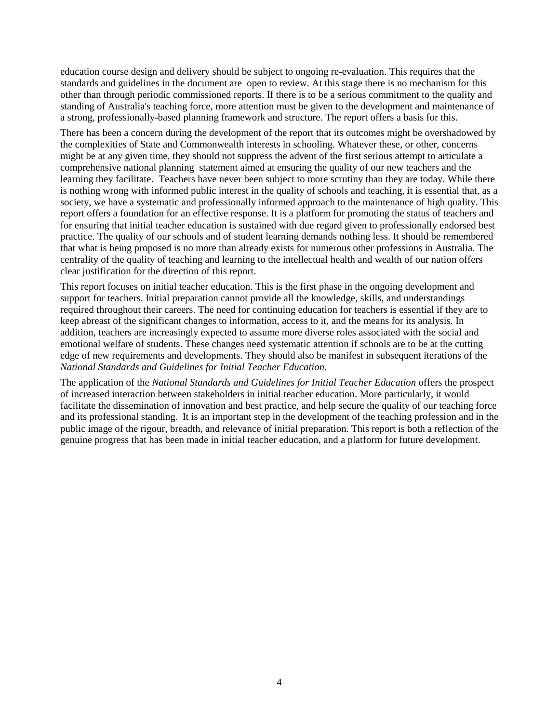education course design and delivery should be subject to ongoing re-evaluation. This requires that the standards and guidelines in the document are open to review. At this stage there is no mechanism for this other than through periodic commissioned reports. If there is to be a serious commitment to the quality and standing of Australia's teaching force, more attention must be given to the development and maintenance of a strong, professionally-based planning framework and structure. The report offers a basis for this.

There has been a concern during the development of the report that its outcomes might be overshadowed by the complexities of State and Commonwealth interests in schooling. Whatever these, or other, concerns might be at any given time, they should not suppress the advent of the first serious attempt to articulate a comprehensive national planning statement aimed at ensuring the quality of our new teachers and the learning they facilitate. Teachers have never been subject to more scrutiny than they are today. While there is nothing wrong with informed public interest in the quality of schools and teaching, it is essential that, as a society, we have a systematic and professionally informed approach to the maintenance of high quality. This report offers a foundation for an effective response. It is a platform for promoting the status of teachers and for ensuring that initial teacher education is sustained with due regard given to professionally endorsed best practice. The quality of our schools and of student learning demands nothing less. It should be remembered that what is being proposed is no more than already exists for numerous other professions in Australia. The centrality of the quality of teaching and learning to the intellectual health and wealth of our nation offers clear justification for the direction of this report.

This report focuses on initial teacher education. This is the first phase in the ongoing development and support for teachers. Initial preparation cannot provide all the knowledge, skills, and understandings required throughout their careers. The need for continuing education for teachers is essential if they are to keep abreast of the significant changes to information, access to it, and the means for its analysis. In addition, teachers are increasingly expected to assume more diverse roles associated with the social and emotional welfare of students. These changes need systematic attention if schools are to be at the cutting edge of new requirements and developments. They should also be manifest in subsequent iterations of the *National Standards and Guidelines for Initial Teacher Education*.

The application of the *National Standards and Guidelines for Initial Teacher Education* offers the prospect of increased interaction between stakeholders in initial teacher education. More particularly, it would facilitate the dissemination of innovation and best practice, and help secure the quality of our teaching force and its professional standing. It is an important step in the development of the teaching profession and in the public image of the rigour, breadth, and relevance of initial preparation. This report is both a reflection of the genuine progress that has been made in initial teacher education, and a platform for future development.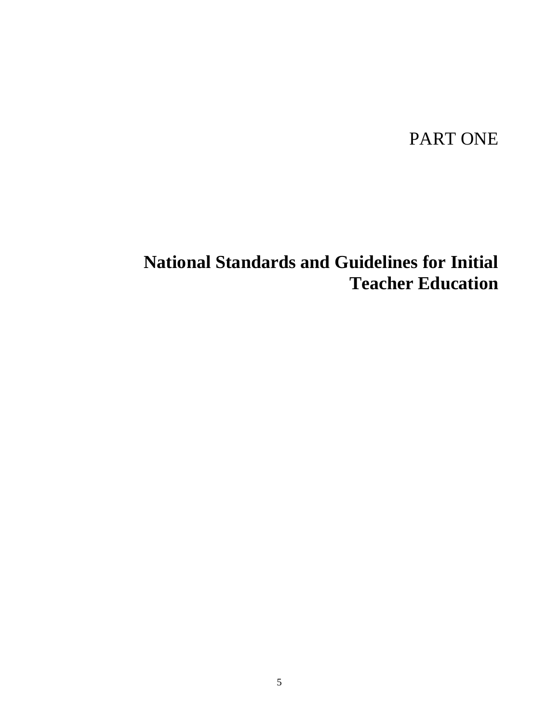# PART ONE

# **National Standards and Guidelines for Initial Teacher Education**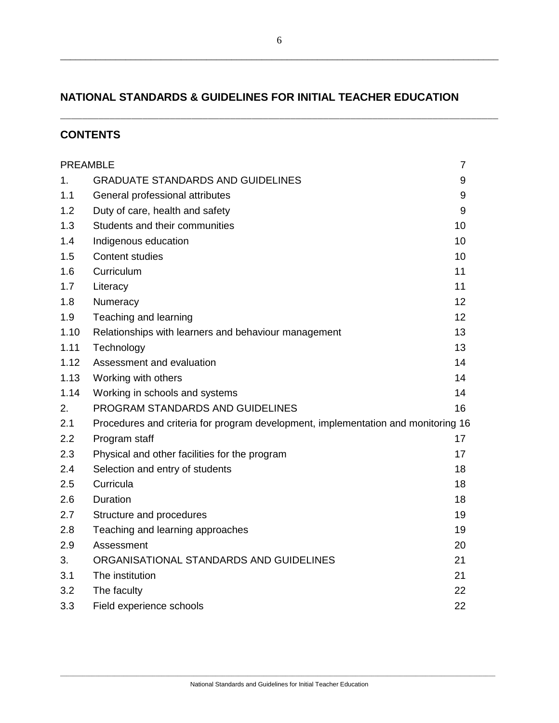# **NATIONAL STANDARDS & GUIDELINES FOR INITIAL TEACHER EDUCATION**

# **CONTENTS**

| <b>PREAMBLE</b> |                                                                                   |    |
|-----------------|-----------------------------------------------------------------------------------|----|
| 1.              | <b>GRADUATE STANDARDS AND GUIDELINES</b>                                          | 9  |
| 1.1             | General professional attributes                                                   | 9  |
| 1.2             | Duty of care, health and safety                                                   | 9  |
| 1.3             | Students and their communities                                                    | 10 |
| 1.4             | Indigenous education                                                              | 10 |
| 1.5             | <b>Content studies</b>                                                            | 10 |
| 1.6             | Curriculum                                                                        | 11 |
| 1.7             | Literacy                                                                          | 11 |
| 1.8             | Numeracy                                                                          | 12 |
| 1.9             | Teaching and learning                                                             | 12 |
| 1.10            | Relationships with learners and behaviour management                              | 13 |
| 1.11            | Technology                                                                        | 13 |
| 1.12            | Assessment and evaluation                                                         | 14 |
| 1.13            | Working with others                                                               | 14 |
| 1.14            | Working in schools and systems                                                    | 14 |
| 2.              | PROGRAM STANDARDS AND GUIDELINES                                                  | 16 |
| 2.1             | Procedures and criteria for program development, implementation and monitoring 16 |    |
| 2.2             | Program staff                                                                     | 17 |
| 2.3             | Physical and other facilities for the program                                     | 17 |
| 2.4             | Selection and entry of students                                                   | 18 |
| 2.5             | Curricula                                                                         | 18 |
| 2.6             | Duration                                                                          | 18 |
| 2.7             | Structure and procedures                                                          | 19 |
| 2.8             | Teaching and learning approaches                                                  | 19 |
| 2.9             | Assessment                                                                        | 20 |
| 3.              | ORGANISATIONAL STANDARDS AND GUIDELINES                                           | 21 |
| 3.1             | The institution                                                                   | 21 |
| 3.2             | The faculty                                                                       | 22 |
| 3.3             | Field experience schools                                                          | 22 |

\_\_\_\_\_\_\_\_\_\_\_\_\_\_\_\_\_\_\_\_\_\_\_\_\_\_\_\_\_\_\_\_\_\_\_\_\_\_\_\_\_\_\_\_\_\_\_\_\_\_\_\_\_\_\_\_\_\_\_\_\_\_\_\_\_\_\_\_\_\_\_\_\_\_\_\_\_\_\_\_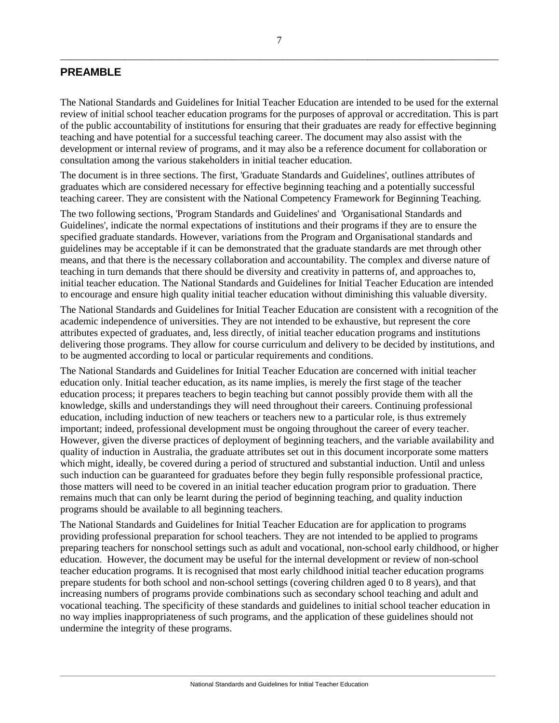# **PREAMBLE**

The National Standards and Guidelines for Initial Teacher Education are intended to be used for the external review of initial school teacher education programs for the purposes of approval or accreditation. This is part of the public accountability of institutions for ensuring that their graduates are ready for effective beginning teaching and have potential for a successful teaching career. The document may also assist with the development or internal review of programs, and it may also be a reference document for collaboration or consultation among the various stakeholders in initial teacher education.

The document is in three sections. The first, 'Graduate Standards and Guidelines', outlines attributes of graduates which are considered necessary for effective beginning teaching and a potentially successful teaching career. They are consistent with the National Competency Framework for Beginning Teaching.

The two following sections, 'Program Standards and Guidelines' and 'Organisational Standards and Guidelines', indicate the normal expectations of institutions and their programs if they are to ensure the specified graduate standards. However, variations from the Program and Organisational standards and guidelines may be acceptable if it can be demonstrated that the graduate standards are met through other means, and that there is the necessary collaboration and accountability. The complex and diverse nature of teaching in turn demands that there should be diversity and creativity in patterns of, and approaches to, initial teacher education. The National Standards and Guidelines for Initial Teacher Education are intended to encourage and ensure high quality initial teacher education without diminishing this valuable diversity.

The National Standards and Guidelines for Initial Teacher Education are consistent with a recognition of the academic independence of universities. They are not intended to be exhaustive, but represent the core attributes expected of graduates, and, less directly, of initial teacher education programs and institutions delivering those programs. They allow for course curriculum and delivery to be decided by institutions, and to be augmented according to local or particular requirements and conditions.

The National Standards and Guidelines for Initial Teacher Education are concerned with initial teacher education only. Initial teacher education, as its name implies, is merely the first stage of the teacher education process; it prepares teachers to begin teaching but cannot possibly provide them with all the knowledge, skills and understandings they will need throughout their careers. Continuing professional education, including induction of new teachers or teachers new to a particular role, is thus extremely important; indeed, professional development must be ongoing throughout the career of every teacher. However, given the diverse practices of deployment of beginning teachers, and the variable availability and quality of induction in Australia, the graduate attributes set out in this document incorporate some matters which might, ideally, be covered during a period of structured and substantial induction. Until and unless such induction can be guaranteed for graduates before they begin fully responsible professional practice, those matters will need to be covered in an initial teacher education program prior to graduation. There remains much that can only be learnt during the period of beginning teaching, and quality induction programs should be available to all beginning teachers.

The National Standards and Guidelines for Initial Teacher Education are for application to programs providing professional preparation for school teachers. They are not intended to be applied to programs preparing teachers for nonschool settings such as adult and vocational, non-school early childhood, or higher education. However, the document may be useful for the internal development or review of non-school teacher education programs. It is recognised that most early childhood initial teacher education programs prepare students for both school and non-school settings (covering children aged 0 to 8 years), and that increasing numbers of programs provide combinations such as secondary school teaching and adult and vocational teaching. The specificity of these standards and guidelines to initial school teacher education in no way implies inappropriateness of such programs, and the application of these guidelines should not undermine the integrity of these programs.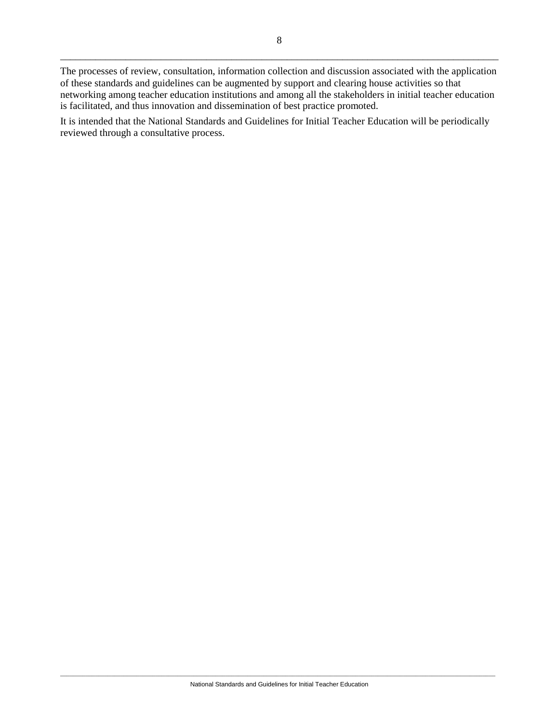It is intended that the National Standards and Guidelines for Initial Teacher Education will be periodically reviewed through a consultative process.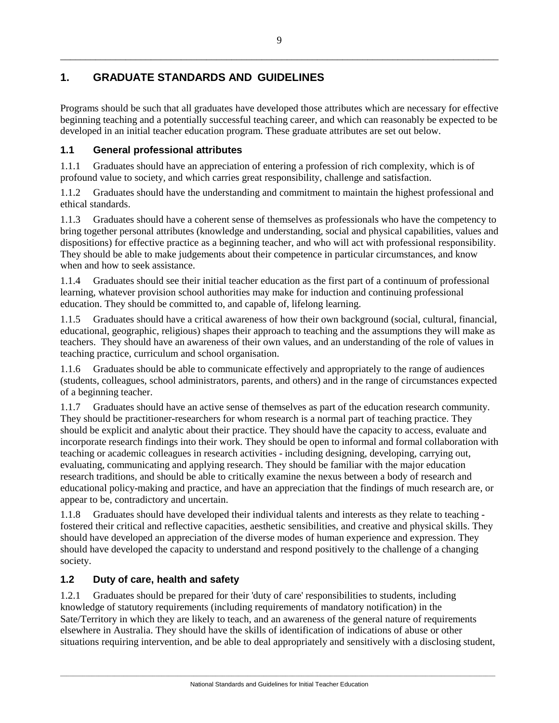# **1. GRADUATE STANDARDS AND GUIDELINES**

Programs should be such that all graduates have developed those attributes which are necessary for effective beginning teaching and a potentially successful teaching career, and which can reasonably be expected to be developed in an initial teacher education program. These graduate attributes are set out below.

# **1.1 General professional attributes**

1.1.1 Graduates should have an appreciation of entering a profession of rich complexity, which is of profound value to society, and which carries great responsibility, challenge and satisfaction.

1.1.2 Graduates should have the understanding and commitment to maintain the highest professional and ethical standards.

1.1.3 Graduates should have a coherent sense of themselves as professionals who have the competency to bring together personal attributes (knowledge and understanding, social and physical capabilities, values and dispositions) for effective practice as a beginning teacher, and who will act with professional responsibility. They should be able to make judgements about their competence in particular circumstances, and know when and how to seek assistance.

1.1.4 Graduates should see their initial teacher education as the first part of a continuum of professional learning, whatever provision school authorities may make for induction and continuing professional education. They should be committed to, and capable of, lifelong learning.

1.1.5 Graduates should have a critical awareness of how their own background (social, cultural, financial, educational, geographic, religious) shapes their approach to teaching and the assumptions they will make as teachers. They should have an awareness of their own values, and an understanding of the role of values in teaching practice, curriculum and school organisation.

1.1.6 Graduates should be able to communicate effectively and appropriately to the range of audiences (students, colleagues, school administrators, parents, and others) and in the range of circumstances expected of a beginning teacher.

1.1.7 Graduates should have an active sense of themselves as part of the education research community. They should be practitioner-researchers for whom research is a normal part of teaching practice. They should be explicit and analytic about their practice. They should have the capacity to access, evaluate and incorporate research findings into their work. They should be open to informal and formal collaboration with teaching or academic colleagues in research activities - including designing, developing, carrying out, evaluating, communicating and applying research. They should be familiar with the major education research traditions, and should be able to critically examine the nexus between a body of research and educational policy-making and practice, and have an appreciation that the findings of much research are, or appear to be, contradictory and uncertain.

1.1.8 Graduates should have developed their individual talents and interests as they relate to teaching fostered their critical and reflective capacities, aesthetic sensibilities, and creative and physical skills. They should have developed an appreciation of the diverse modes of human experience and expression. They should have developed the capacity to understand and respond positively to the challenge of a changing society.

# **1.2 Duty of care, health and safety**

1.2.1 Graduates should be prepared for their 'duty of care' responsibilities to students, including knowledge of statutory requirements (including requirements of mandatory notification) in the Sate/Territory in which they are likely to teach, and an awareness of the general nature of requirements elsewhere in Australia. They should have the skills of identification of indications of abuse or other situations requiring intervention, and be able to deal appropriately and sensitively with a disclosing student,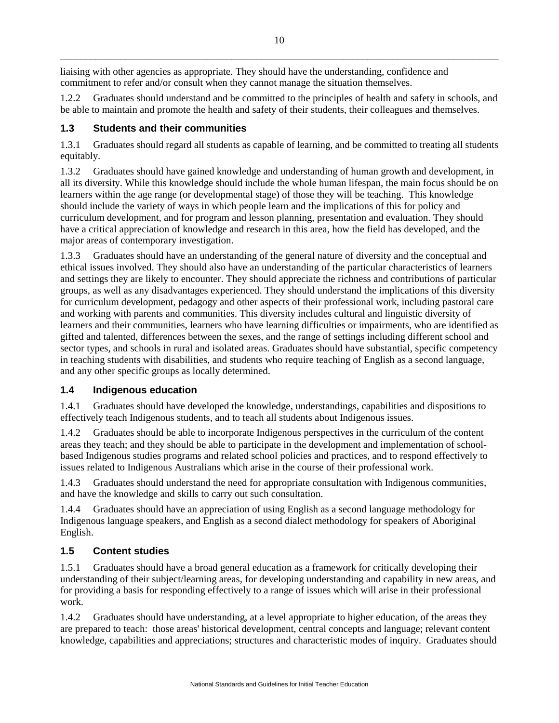liaising with other agencies as appropriate. They should have the understanding, confidence and commitment to refer and/or consult when they cannot manage the situation themselves.

1.2.2 Graduates should understand and be committed to the principles of health and safety in schools, and be able to maintain and promote the health and safety of their students, their colleagues and themselves.

# **1.3 Students and their communities**

1.3.1 Graduates should regard all students as capable of learning, and be committed to treating all students equitably.

1.3.2 Graduates should have gained knowledge and understanding of human growth and development, in all its diversity. While this knowledge should include the whole human lifespan, the main focus should be on learners within the age range (or developmental stage) of those they will be teaching. This knowledge should include the variety of ways in which people learn and the implications of this for policy and curriculum development, and for program and lesson planning, presentation and evaluation. They should have a critical appreciation of knowledge and research in this area, how the field has developed, and the major areas of contemporary investigation.

1.3.3 Graduates should have an understanding of the general nature of diversity and the conceptual and ethical issues involved. They should also have an understanding of the particular characteristics of learners and settings they are likely to encounter. They should appreciate the richness and contributions of particular groups, as well as any disadvantages experienced. They should understand the implications of this diversity for curriculum development, pedagogy and other aspects of their professional work, including pastoral care and working with parents and communities. This diversity includes cultural and linguistic diversity of learners and their communities, learners who have learning difficulties or impairments, who are identified as gifted and talented, differences between the sexes, and the range of settings including different school and sector types, and schools in rural and isolated areas. Graduates should have substantial, specific competency in teaching students with disabilities, and students who require teaching of English as a second language, and any other specific groups as locally determined.

# **1.4 Indigenous education**

1.4.1 Graduates should have developed the knowledge, understandings, capabilities and dispositions to effectively teach Indigenous students, and to teach all students about Indigenous issues.

1.4.2 Graduates should be able to incorporate Indigenous perspectives in the curriculum of the content areas they teach; and they should be able to participate in the development and implementation of schoolbased Indigenous studies programs and related school policies and practices, and to respond effectively to issues related to Indigenous Australians which arise in the course of their professional work.

1.4.3 Graduates should understand the need for appropriate consultation with Indigenous communities, and have the knowledge and skills to carry out such consultation.

1.4.4 Graduates should have an appreciation of using English as a second language methodology for Indigenous language speakers, and English as a second dialect methodology for speakers of Aboriginal English.

# **1.5 Content studies**

1.5.1 Graduates should have a broad general education as a framework for critically developing their understanding of their subject/learning areas, for developing understanding and capability in new areas, and for providing a basis for responding effectively to a range of issues which will arise in their professional work.

1.4.2 Graduates should have understanding, at a level appropriate to higher education, of the areas they are prepared to teach: those areas' historical development, central concepts and language; relevant content knowledge, capabilities and appreciations; structures and characteristic modes of inquiry. Graduates should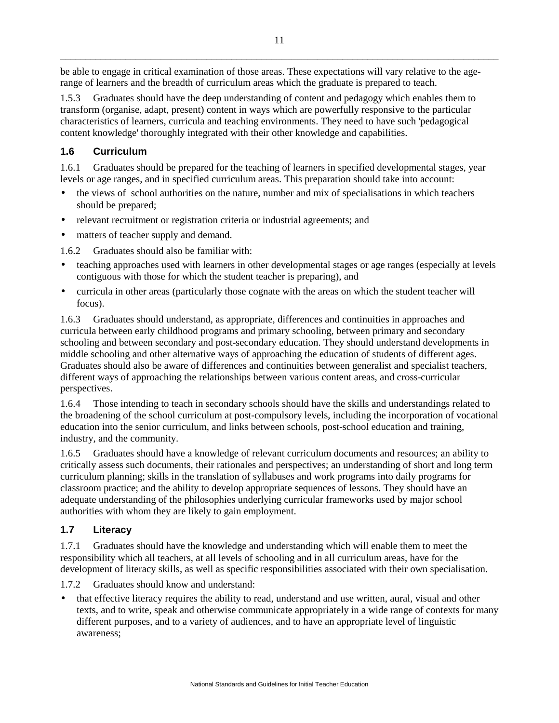be able to engage in critical examination of those areas. These expectations will vary relative to the agerange of learners and the breadth of curriculum areas which the graduate is prepared to teach.

1.5.3 Graduates should have the deep understanding of content and pedagogy which enables them to transform (organise, adapt, present) content in ways which are powerfully responsive to the particular characteristics of learners, curricula and teaching environments. They need to have such 'pedagogical content knowledge' thoroughly integrated with their other knowledge and capabilities.

# **1.6 Curriculum**

1.6.1 Graduates should be prepared for the teaching of learners in specified developmental stages, year levels or age ranges, and in specified curriculum areas. This preparation should take into account:

- the views of school authorities on the nature, number and mix of specialisations in which teachers should be prepared;
- relevant recruitment or registration criteria or industrial agreements; and
- matters of teacher supply and demand.

1.6.2 Graduates should also be familiar with:

- teaching approaches used with learners in other developmental stages or age ranges (especially at levels contiguous with those for which the student teacher is preparing), and
- curricula in other areas (particularly those cognate with the areas on which the student teacher will focus).

1.6.3 Graduates should understand, as appropriate, differences and continuities in approaches and curricula between early childhood programs and primary schooling, between primary and secondary schooling and between secondary and post-secondary education. They should understand developments in middle schooling and other alternative ways of approaching the education of students of different ages. Graduates should also be aware of differences and continuities between generalist and specialist teachers, different ways of approaching the relationships between various content areas, and cross-curricular perspectives.

1.6.4 Those intending to teach in secondary schools should have the skills and understandings related to the broadening of the school curriculum at post-compulsory levels, including the incorporation of vocational education into the senior curriculum, and links between schools, post-school education and training, industry, and the community.

1.6.5 Graduates should have a knowledge of relevant curriculum documents and resources; an ability to critically assess such documents, their rationales and perspectives; an understanding of short and long term curriculum planning; skills in the translation of syllabuses and work programs into daily programs for classroom practice; and the ability to develop appropriate sequences of lessons. They should have an adequate understanding of the philosophies underlying curricular frameworks used by major school authorities with whom they are likely to gain employment.

# **1.7 Literacy**

1.7.1 Graduates should have the knowledge and understanding which will enable them to meet the responsibility which all teachers, at all levels of schooling and in all curriculum areas, have for the development of literacy skills, as well as specific responsibilities associated with their own specialisation.

1.7.2 Graduates should know and understand:

• that effective literacy requires the ability to read, understand and use written, aural, visual and other texts, and to write, speak and otherwise communicate appropriately in a wide range of contexts for many different purposes, and to a variety of audiences, and to have an appropriate level of linguistic awareness;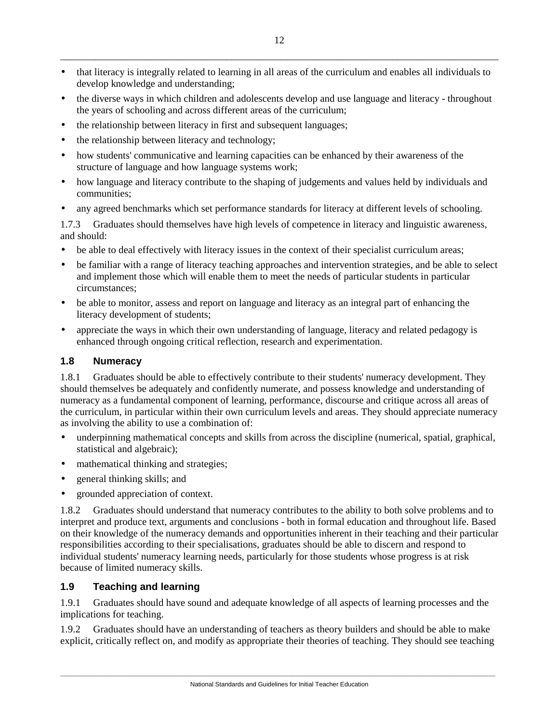- that literacy is integrally related to learning in all areas of the curriculum and enables all individuals to develop knowledge and understanding;
- the diverse ways in which children and adolescents develop and use language and literacy throughout the years of schooling and across different areas of the curriculum;
- the relationship between literacy in first and subsequent languages;
- the relationship between literacy and technology;
- how students' communicative and learning capacities can be enhanced by their awareness of the structure of language and how language systems work;
- how language and literacy contribute to the shaping of judgements and values held by individuals and communities;
- any agreed benchmarks which set performance standards for literacy at different levels of schooling.

1.7.3 Graduates should themselves have high levels of competence in literacy and linguistic awareness, and should:

- be able to deal effectively with literacy issues in the context of their specialist curriculum areas;
- be familiar with a range of literacy teaching approaches and intervention strategies, and be able to select and implement those which will enable them to meet the needs of particular students in particular circumstances;
- be able to monitor, assess and report on language and literacy as an integral part of enhancing the literacy development of students;
- appreciate the ways in which their own understanding of language, literacy and related pedagogy is enhanced through ongoing critical reflection, research and experimentation.

# **1.8 Numeracy**

1.8.1 Graduates should be able to effectively contribute to their students' numeracy development. They should themselves be adequately and confidently numerate, and possess knowledge and understanding of numeracy as a fundamental component of learning, performance, discourse and critique across all areas of the curriculum, in particular within their own curriculum levels and areas. They should appreciate numeracy as involving the ability to use a combination of:

- underpinning mathematical concepts and skills from across the discipline (numerical, spatial, graphical, statistical and algebraic);
- mathematical thinking and strategies;
- general thinking skills; and
- grounded appreciation of context.

1.8.2 Graduates should understand that numeracy contributes to the ability to both solve problems and to interpret and produce text, arguments and conclusions - both in formal education and throughout life. Based on their knowledge of the numeracy demands and opportunities inherent in their teaching and their particular responsibilities according to their specialisations, graduates should be able to discern and respond to individual students' numeracy learning needs, particularly for those students whose progress is at risk because of limited numeracy skills.

# **1.9 Teaching and learning**

1.9.1 Graduates should have sound and adequate knowledge of all aspects of learning processes and the implications for teaching.

1.9.2 Graduates should have an understanding of teachers as theory builders and should be able to make explicit, critically reflect on, and modify as appropriate their theories of teaching. They should see teaching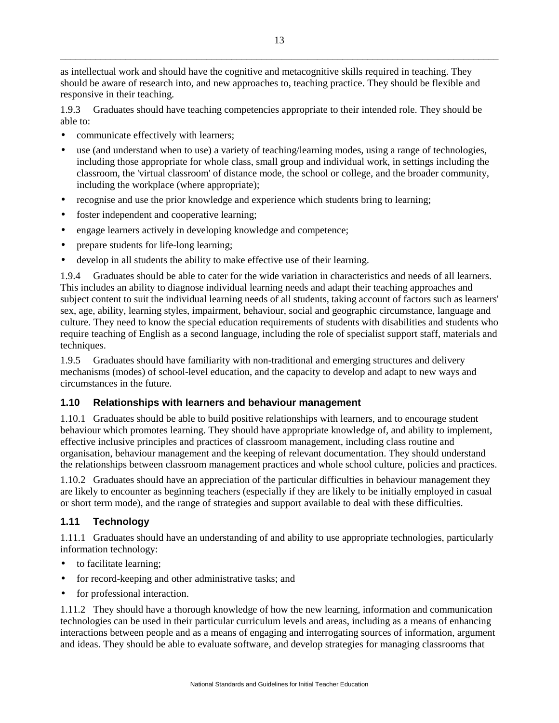\_\_\_\_\_\_\_\_\_\_\_\_\_\_\_\_\_\_\_\_\_\_\_\_\_\_\_\_\_\_\_\_\_\_\_\_\_\_\_\_\_\_\_\_\_\_\_\_\_\_\_\_\_\_\_\_\_\_\_\_\_\_\_\_\_\_\_\_\_\_\_\_\_\_\_\_\_\_\_\_\_\_\_\_\_\_\_ as intellectual work and should have the cognitive and metacognitive skills required in teaching. They

should be aware of research into, and new approaches to, teaching practice. They should be flexible and responsive in their teaching.

1.9.3 Graduates should have teaching competencies appropriate to their intended role. They should be able to:

- communicate effectively with learners;
- use (and understand when to use) a variety of teaching/learning modes, using a range of technologies, including those appropriate for whole class, small group and individual work, in settings including the classroom, the 'virtual classroom' of distance mode, the school or college, and the broader community, including the workplace (where appropriate);
- recognise and use the prior knowledge and experience which students bring to learning;
- foster independent and cooperative learning;
- engage learners actively in developing knowledge and competence;
- prepare students for life-long learning;
- develop in all students the ability to make effective use of their learning.

1.9.4 Graduates should be able to cater for the wide variation in characteristics and needs of all learners. This includes an ability to diagnose individual learning needs and adapt their teaching approaches and subject content to suit the individual learning needs of all students, taking account of factors such as learners' sex, age, ability, learning styles, impairment, behaviour, social and geographic circumstance, language and culture. They need to know the special education requirements of students with disabilities and students who require teaching of English as a second language, including the role of specialist support staff, materials and techniques.

1.9.5 Graduates should have familiarity with non-traditional and emerging structures and delivery mechanisms (modes) of school-level education, and the capacity to develop and adapt to new ways and circumstances in the future.

## **1.10 Relationships with learners and behaviour management**

1.10.1 Graduates should be able to build positive relationships with learners, and to encourage student behaviour which promotes learning. They should have appropriate knowledge of, and ability to implement, effective inclusive principles and practices of classroom management, including class routine and organisation, behaviour management and the keeping of relevant documentation. They should understand the relationships between classroom management practices and whole school culture, policies and practices.

1.10.2 Graduates should have an appreciation of the particular difficulties in behaviour management they are likely to encounter as beginning teachers (especially if they are likely to be initially employed in casual or short term mode), and the range of strategies and support available to deal with these difficulties.

# **1.11 Technology**

1.11.1 Graduates should have an understanding of and ability to use appropriate technologies, particularly information technology:

- to facilitate learning;
- for record-keeping and other administrative tasks; and
- for professional interaction.

1.11.2 They should have a thorough knowledge of how the new learning, information and communication technologies can be used in their particular curriculum levels and areas, including as a means of enhancing interactions between people and as a means of engaging and interrogating sources of information, argument and ideas. They should be able to evaluate software, and develop strategies for managing classrooms that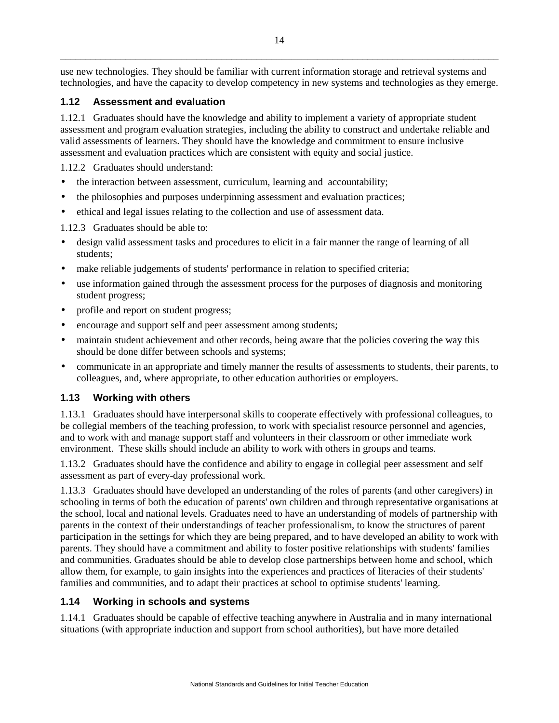use new technologies. They should be familiar with current information storage and retrieval systems and technologies, and have the capacity to develop competency in new systems and technologies as they emerge.

# **1.12 Assessment and evaluation**

1.12.1 Graduates should have the knowledge and ability to implement a variety of appropriate student assessment and program evaluation strategies, including the ability to construct and undertake reliable and valid assessments of learners. They should have the knowledge and commitment to ensure inclusive assessment and evaluation practices which are consistent with equity and social justice.

1.12.2 Graduates should understand:

- the interaction between assessment, curriculum, learning and accountability;
- the philosophies and purposes underpinning assessment and evaluation practices;
- ethical and legal issues relating to the collection and use of assessment data.

1.12.3 Graduates should be able to:

- design valid assessment tasks and procedures to elicit in a fair manner the range of learning of all students;
- make reliable judgements of students' performance in relation to specified criteria;
- use information gained through the assessment process for the purposes of diagnosis and monitoring student progress;
- profile and report on student progress;
- encourage and support self and peer assessment among students;
- maintain student achievement and other records, being aware that the policies covering the way this should be done differ between schools and systems;
- communicate in an appropriate and timely manner the results of assessments to students, their parents, to colleagues, and, where appropriate, to other education authorities or employers.

# **1.13 Working with others**

1.13.1 Graduates should have interpersonal skills to cooperate effectively with professional colleagues, to be collegial members of the teaching profession, to work with specialist resource personnel and agencies, and to work with and manage support staff and volunteers in their classroom or other immediate work environment. These skills should include an ability to work with others in groups and teams.

1.13.2 Graduates should have the confidence and ability to engage in collegial peer assessment and self assessment as part of every-day professional work.

1.13.3 Graduates should have developed an understanding of the roles of parents (and other caregivers) in schooling in terms of both the education of parents' own children and through representative organisations at the school, local and national levels. Graduates need to have an understanding of models of partnership with parents in the context of their understandings of teacher professionalism, to know the structures of parent participation in the settings for which they are being prepared, and to have developed an ability to work with parents. They should have a commitment and ability to foster positive relationships with students' families and communities. Graduates should be able to develop close partnerships between home and school, which allow them, for example, to gain insights into the experiences and practices of literacies of their students' families and communities, and to adapt their practices at school to optimise students' learning.

# **1.14 Working in schools and systems**

1.14.1 Graduates should be capable of effective teaching anywhere in Australia and in many international situations (with appropriate induction and support from school authorities), but have more detailed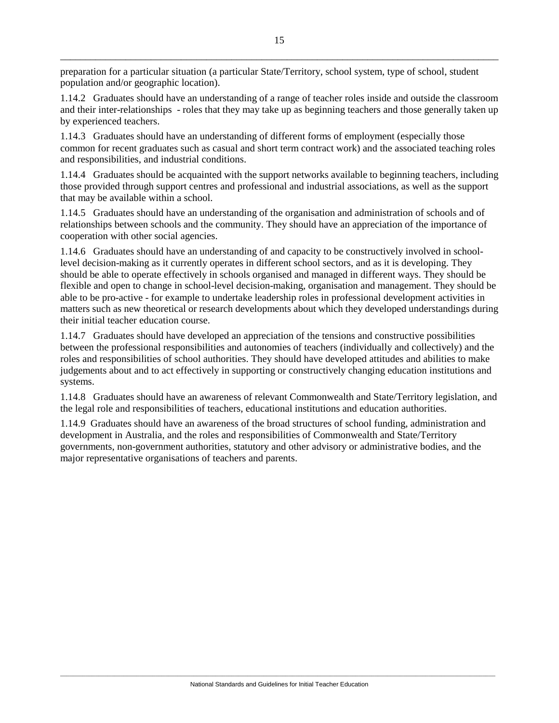preparation for a particular situation (a particular State/Territory, school system, type of school, student population and/or geographic location).

1.14.2 Graduates should have an understanding of a range of teacher roles inside and outside the classroom and their inter-relationships - roles that they may take up as beginning teachers and those generally taken up by experienced teachers.

1.14.3 Graduates should have an understanding of different forms of employment (especially those common for recent graduates such as casual and short term contract work) and the associated teaching roles and responsibilities, and industrial conditions.

1.14.4 Graduates should be acquainted with the support networks available to beginning teachers, including those provided through support centres and professional and industrial associations, as well as the support that may be available within a school.

1.14.5 Graduates should have an understanding of the organisation and administration of schools and of relationships between schools and the community. They should have an appreciation of the importance of cooperation with other social agencies.

1.14.6 Graduates should have an understanding of and capacity to be constructively involved in schoollevel decision-making as it currently operates in different school sectors, and as it is developing. They should be able to operate effectively in schools organised and managed in different ways. They should be flexible and open to change in school-level decision-making, organisation and management. They should be able to be pro-active - for example to undertake leadership roles in professional development activities in matters such as new theoretical or research developments about which they developed understandings during their initial teacher education course.

1.14.7 Graduates should have developed an appreciation of the tensions and constructive possibilities between the professional responsibilities and autonomies of teachers (individually and collectively) and the roles and responsibilities of school authorities. They should have developed attitudes and abilities to make judgements about and to act effectively in supporting or constructively changing education institutions and systems.

1.14.8 Graduates should have an awareness of relevant Commonwealth and State/Territory legislation, and the legal role and responsibilities of teachers, educational institutions and education authorities.

1.14.9 Graduates should have an awareness of the broad structures of school funding, administration and development in Australia, and the roles and responsibilities of Commonwealth and State/Territory governments, non-government authorities, statutory and other advisory or administrative bodies, and the major representative organisations of teachers and parents.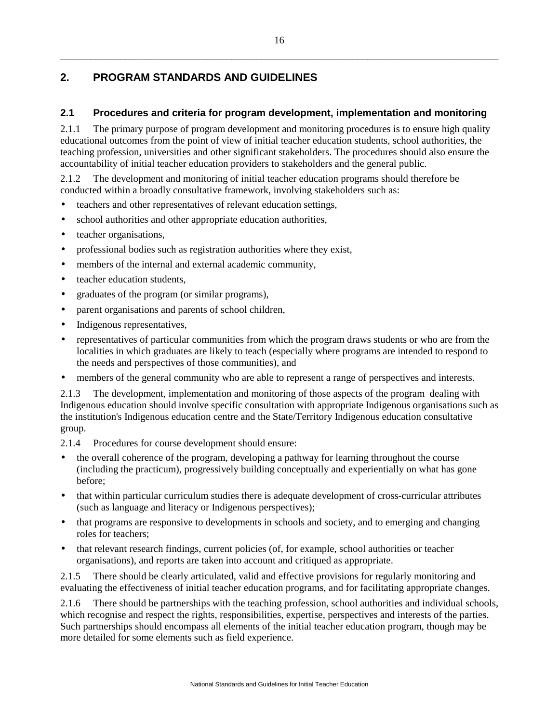# **2. PROGRAM STANDARDS AND GUIDELINES**

# **2.1 Procedures and criteria for program development, implementation and monitoring**

2.1.1 The primary purpose of program development and monitoring procedures is to ensure high quality educational outcomes from the point of view of initial teacher education students, school authorities, the teaching profession, universities and other significant stakeholders. The procedures should also ensure the accountability of initial teacher education providers to stakeholders and the general public.

2.1.2 The development and monitoring of initial teacher education programs should therefore be conducted within a broadly consultative framework, involving stakeholders such as:

- teachers and other representatives of relevant education settings,
- school authorities and other appropriate education authorities,
- teacher organisations,
- professional bodies such as registration authorities where they exist,
- members of the internal and external academic community,
- teacher education students.
- graduates of the program (or similar programs),
- parent organisations and parents of school children,
- Indigenous representatives,
- representatives of particular communities from which the program draws students or who are from the localities in which graduates are likely to teach (especially where programs are intended to respond to the needs and perspectives of those communities), and
- members of the general community who are able to represent a range of perspectives and interests.

2.1.3 The development, implementation and monitoring of those aspects of the program dealing with Indigenous education should involve specific consultation with appropriate Indigenous organisations such as the institution's Indigenous education centre and the State/Territory Indigenous education consultative group.

2.1.4 Procedures for course development should ensure:

- the overall coherence of the program, developing a pathway for learning throughout the course (including the practicum), progressively building conceptually and experientially on what has gone before;
- that within particular curriculum studies there is adequate development of cross-curricular attributes (such as language and literacy or Indigenous perspectives);
- that programs are responsive to developments in schools and society, and to emerging and changing roles for teachers;
- that relevant research findings, current policies (of, for example, school authorities or teacher organisations), and reports are taken into account and critiqued as appropriate.

2.1.5 There should be clearly articulated, valid and effective provisions for regularly monitoring and evaluating the effectiveness of initial teacher education programs, and for facilitating appropriate changes.

2.1.6 There should be partnerships with the teaching profession, school authorities and individual schools, which recognise and respect the rights, responsibilities, expertise, perspectives and interests of the parties. Such partnerships should encompass all elements of the initial teacher education program, though may be more detailed for some elements such as field experience.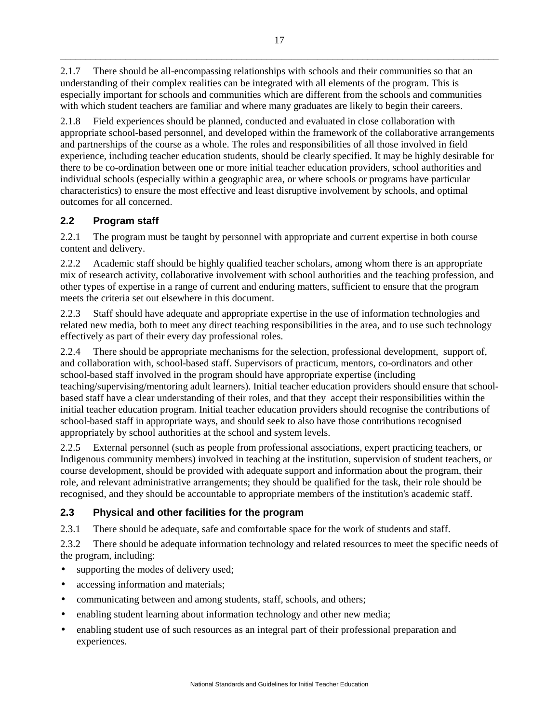2.1.7 There should be all-encompassing relationships with schools and their communities so that an understanding of their complex realities can be integrated with all elements of the program. This is especially important for schools and communities which are different from the schools and communities with which student teachers are familiar and where many graduates are likely to begin their careers.

2.1.8 Field experiences should be planned, conducted and evaluated in close collaboration with appropriate school-based personnel, and developed within the framework of the collaborative arrangements and partnerships of the course as a whole. The roles and responsibilities of all those involved in field experience, including teacher education students, should be clearly specified. It may be highly desirable for there to be co-ordination between one or more initial teacher education providers, school authorities and individual schools (especially within a geographic area, or where schools or programs have particular characteristics) to ensure the most effective and least disruptive involvement by schools, and optimal outcomes for all concerned.

# **2.2 Program staff**

2.2.1 The program must be taught by personnel with appropriate and current expertise in both course content and delivery.

2.2.2 Academic staff should be highly qualified teacher scholars, among whom there is an appropriate mix of research activity, collaborative involvement with school authorities and the teaching profession, and other types of expertise in a range of current and enduring matters, sufficient to ensure that the program meets the criteria set out elsewhere in this document.

2.2.3 Staff should have adequate and appropriate expertise in the use of information technologies and related new media, both to meet any direct teaching responsibilities in the area, and to use such technology effectively as part of their every day professional roles.

2.2.4 There should be appropriate mechanisms for the selection, professional development, support of, and collaboration with, school-based staff. Supervisors of practicum, mentors, co-ordinators and other school-based staff involved in the program should have appropriate expertise (including teaching/supervising/mentoring adult learners). Initial teacher education providers should ensure that schoolbased staff have a clear understanding of their roles, and that they accept their responsibilities within the initial teacher education program. Initial teacher education providers should recognise the contributions of school-based staff in appropriate ways, and should seek to also have those contributions recognised appropriately by school authorities at the school and system levels.

2.2.5 External personnel (such as people from professional associations, expert practicing teachers, or Indigenous community members) involved in teaching at the institution, supervision of student teachers, or course development, should be provided with adequate support and information about the program, their role, and relevant administrative arrangements; they should be qualified for the task, their role should be recognised, and they should be accountable to appropriate members of the institution's academic staff.

# **2.3 Physical and other facilities for the program**

2.3.1 There should be adequate, safe and comfortable space for the work of students and staff.

2.3.2 There should be adequate information technology and related resources to meet the specific needs of the program, including:

- supporting the modes of delivery used;
- accessing information and materials;
- communicating between and among students, staff, schools, and others;
- enabling student learning about information technology and other new media;
- enabling student use of such resources as an integral part of their professional preparation and experiences.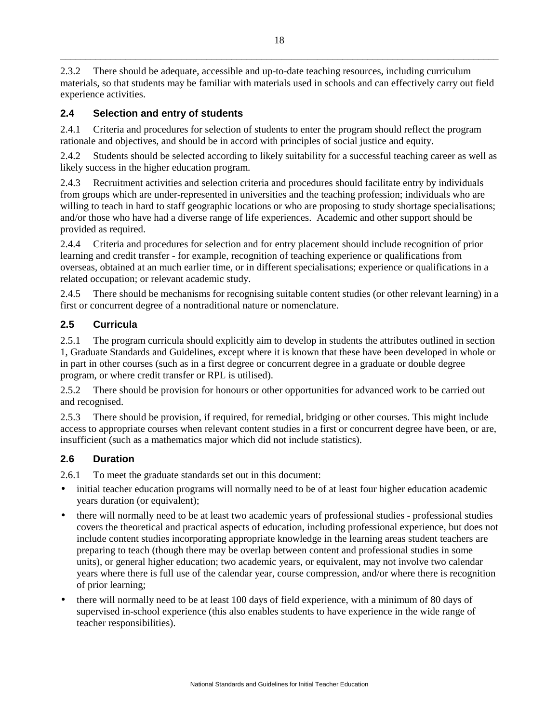2.3.2 There should be adequate, accessible and up-to-date teaching resources, including curriculum materials, so that students may be familiar with materials used in schools and can effectively carry out field experience activities.

# **2.4 Selection and entry of students**

2.4.1 Criteria and procedures for selection of students to enter the program should reflect the program rationale and objectives, and should be in accord with principles of social justice and equity.

2.4.2 Students should be selected according to likely suitability for a successful teaching career as well as likely success in the higher education program.

2.4.3 Recruitment activities and selection criteria and procedures should facilitate entry by individuals from groups which are under-represented in universities and the teaching profession; individuals who are willing to teach in hard to staff geographic locations or who are proposing to study shortage specialisations; and/or those who have had a diverse range of life experiences. Academic and other support should be provided as required.

2.4.4 Criteria and procedures for selection and for entry placement should include recognition of prior learning and credit transfer - for example, recognition of teaching experience or qualifications from overseas, obtained at an much earlier time, or in different specialisations; experience or qualifications in a related occupation; or relevant academic study.

2.4.5 There should be mechanisms for recognising suitable content studies (or other relevant learning) in a first or concurrent degree of a nontraditional nature or nomenclature.

# **2.5 Curricula**

2.5.1 The program curricula should explicitly aim to develop in students the attributes outlined in section 1, Graduate Standards and Guidelines, except where it is known that these have been developed in whole or in part in other courses (such as in a first degree or concurrent degree in a graduate or double degree program, or where credit transfer or RPL is utilised).

2.5.2 There should be provision for honours or other opportunities for advanced work to be carried out and recognised.

2.5.3 There should be provision, if required, for remedial, bridging or other courses. This might include access to appropriate courses when relevant content studies in a first or concurrent degree have been, or are, insufficient (such as a mathematics major which did not include statistics).

# **2.6 Duration**

2.6.1 To meet the graduate standards set out in this document:

- initial teacher education programs will normally need to be of at least four higher education academic years duration (or equivalent);
- there will normally need to be at least two academic years of professional studies professional studies covers the theoretical and practical aspects of education, including professional experience, but does not include content studies incorporating appropriate knowledge in the learning areas student teachers are preparing to teach (though there may be overlap between content and professional studies in some units), or general higher education; two academic years, or equivalent, may not involve two calendar years where there is full use of the calendar year, course compression, and/or where there is recognition of prior learning;
- there will normally need to be at least 100 days of field experience, with a minimum of 80 days of supervised in-school experience (this also enables students to have experience in the wide range of teacher responsibilities).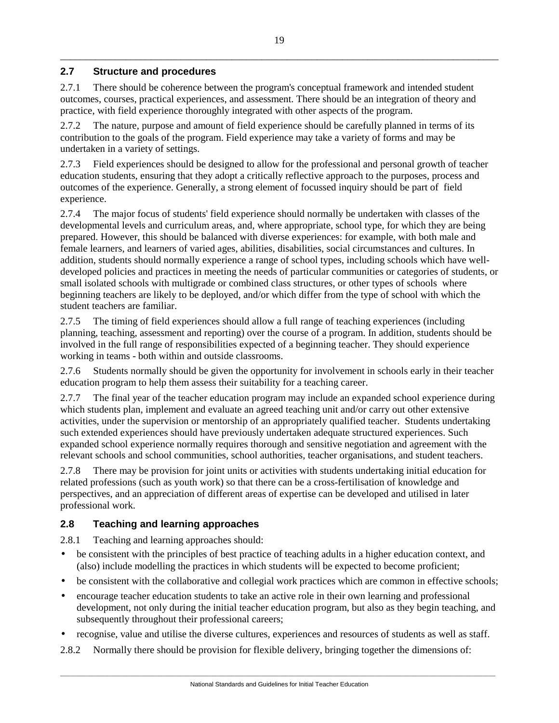# **2.7 Structure and procedures**

2.7.1 There should be coherence between the program's conceptual framework and intended student outcomes, courses, practical experiences, and assessment. There should be an integration of theory and practice, with field experience thoroughly integrated with other aspects of the program.

2.7.2 The nature, purpose and amount of field experience should be carefully planned in terms of its contribution to the goals of the program. Field experience may take a variety of forms and may be undertaken in a variety of settings.

2.7.3 Field experiences should be designed to allow for the professional and personal growth of teacher education students, ensuring that they adopt a critically reflective approach to the purposes, process and outcomes of the experience. Generally, a strong element of focussed inquiry should be part of field experience.

2.7.4 The major focus of students' field experience should normally be undertaken with classes of the developmental levels and curriculum areas, and, where appropriate, school type, for which they are being prepared. However, this should be balanced with diverse experiences: for example, with both male and female learners, and learners of varied ages, abilities, disabilities, social circumstances and cultures. In addition, students should normally experience a range of school types, including schools which have welldeveloped policies and practices in meeting the needs of particular communities or categories of students, or small isolated schools with multigrade or combined class structures, or other types of schools where beginning teachers are likely to be deployed, and/or which differ from the type of school with which the student teachers are familiar.

2.7.5 The timing of field experiences should allow a full range of teaching experiences (including planning, teaching, assessment and reporting) over the course of a program. In addition, students should be involved in the full range of responsibilities expected of a beginning teacher. They should experience working in teams - both within and outside classrooms.

2.7.6 Students normally should be given the opportunity for involvement in schools early in their teacher education program to help them assess their suitability for a teaching career.

2.7.7 The final year of the teacher education program may include an expanded school experience during which students plan, implement and evaluate an agreed teaching unit and/or carry out other extensive activities, under the supervision or mentorship of an appropriately qualified teacher. Students undertaking such extended experiences should have previously undertaken adequate structured experiences. Such expanded school experience normally requires thorough and sensitive negotiation and agreement with the relevant schools and school communities, school authorities, teacher organisations, and student teachers.

2.7.8 There may be provision for joint units or activities with students undertaking initial education for related professions (such as youth work) so that there can be a cross-fertilisation of knowledge and perspectives, and an appreciation of different areas of expertise can be developed and utilised in later professional work.

# **2.8 Teaching and learning approaches**

2.8.1 Teaching and learning approaches should:

- be consistent with the principles of best practice of teaching adults in a higher education context, and (also) include modelling the practices in which students will be expected to become proficient;
- be consistent with the collaborative and collegial work practices which are common in effective schools;
- encourage teacher education students to take an active role in their own learning and professional development, not only during the initial teacher education program, but also as they begin teaching, and subsequently throughout their professional careers;
- recognise, value and utilise the diverse cultures, experiences and resources of students as well as staff.
- 2.8.2 Normally there should be provision for flexible delivery, bringing together the dimensions of: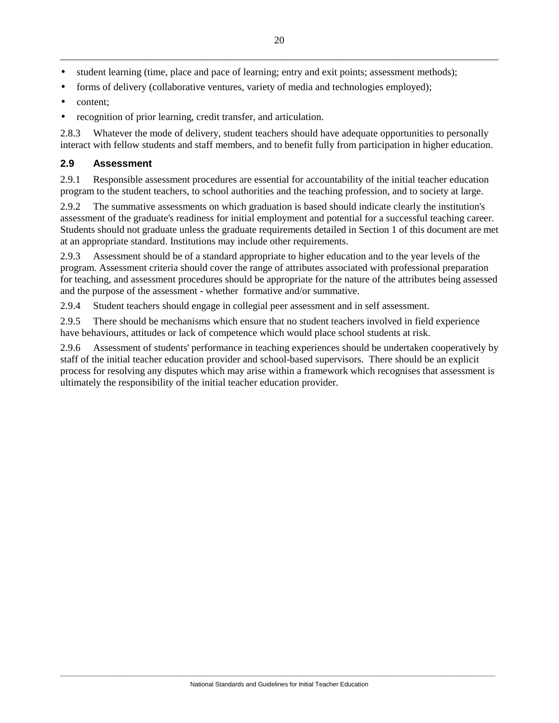- student learning (time, place and pace of learning; entry and exit points; assessment methods);
- forms of delivery (collaborative ventures, variety of media and technologies employed);
- content:
- recognition of prior learning, credit transfer, and articulation.

2.8.3 Whatever the mode of delivery, student teachers should have adequate opportunities to personally interact with fellow students and staff members, and to benefit fully from participation in higher education.

## **2.9 Assessment**

2.9.1 Responsible assessment procedures are essential for accountability of the initial teacher education program to the student teachers, to school authorities and the teaching profession, and to society at large.

2.9.2 The summative assessments on which graduation is based should indicate clearly the institution's assessment of the graduate's readiness for initial employment and potential for a successful teaching career. Students should not graduate unless the graduate requirements detailed in Section 1 of this document are met at an appropriate standard. Institutions may include other requirements.

2.9.3 Assessment should be of a standard appropriate to higher education and to the year levels of the program. Assessment criteria should cover the range of attributes associated with professional preparation for teaching, and assessment procedures should be appropriate for the nature of the attributes being assessed and the purpose of the assessment - whether formative and/or summative.

2.9.4 Student teachers should engage in collegial peer assessment and in self assessment.

2.9.5 There should be mechanisms which ensure that no student teachers involved in field experience have behaviours, attitudes or lack of competence which would place school students at risk.

2.9.6 Assessment of students' performance in teaching experiences should be undertaken cooperatively by staff of the initial teacher education provider and school-based supervisors. There should be an explicit process for resolving any disputes which may arise within a framework which recognises that assessment is ultimately the responsibility of the initial teacher education provider.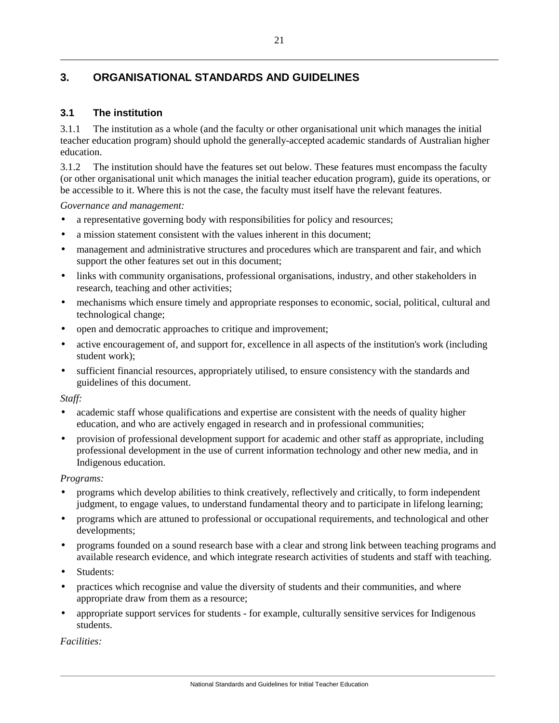# **3. ORGANISATIONAL STANDARDS AND GUIDELINES**

# **3.1 The institution**

3.1.1 The institution as a whole (and the faculty or other organisational unit which manages the initial teacher education program) should uphold the generally-accepted academic standards of Australian higher education.

3.1.2 The institution should have the features set out below. These features must encompass the faculty (or other organisational unit which manages the initial teacher education program), guide its operations, or be accessible to it. Where this is not the case, the faculty must itself have the relevant features.

*Governance and management:* 

- a representative governing body with responsibilities for policy and resources;
- a mission statement consistent with the values inherent in this document;
- management and administrative structures and procedures which are transparent and fair, and which support the other features set out in this document;
- links with community organisations, professional organisations, industry, and other stakeholders in research, teaching and other activities;
- mechanisms which ensure timely and appropriate responses to economic, social, political, cultural and technological change;
- open and democratic approaches to critique and improvement;
- active encouragement of, and support for, excellence in all aspects of the institution's work (including student work);
- sufficient financial resources, appropriately utilised, to ensure consistency with the standards and guidelines of this document.

*Staff:* 

- academic staff whose qualifications and expertise are consistent with the needs of quality higher education, and who are actively engaged in research and in professional communities;
- provision of professional development support for academic and other staff as appropriate, including professional development in the use of current information technology and other new media, and in Indigenous education.

*Programs:* 

- programs which develop abilities to think creatively, reflectively and critically, to form independent judgment, to engage values, to understand fundamental theory and to participate in lifelong learning;
- programs which are attuned to professional or occupational requirements, and technological and other developments;
- programs founded on a sound research base with a clear and strong link between teaching programs and available research evidence, and which integrate research activities of students and staff with teaching.
- Students:
- practices which recognise and value the diversity of students and their communities, and where appropriate draw from them as a resource;
- appropriate support services for students for example, culturally sensitive services for Indigenous students.

*Facilities:*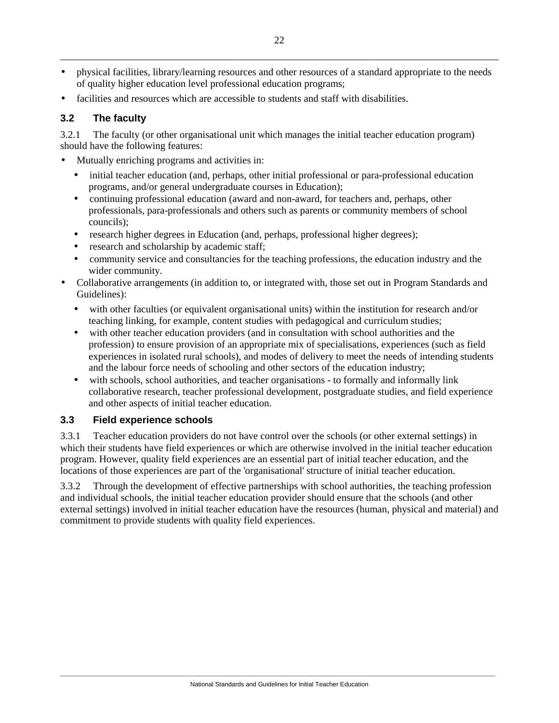- physical facilities, library/learning resources and other resources of a standard appropriate to the needs of quality higher education level professional education programs;
- facilities and resources which are accessible to students and staff with disabilities.

# **3.2 The faculty**

3.2.1 The faculty (or other organisational unit which manages the initial teacher education program) should have the following features:

- Mutually enriching programs and activities in:
	- initial teacher education (and, perhaps, other initial professional or para-professional education programs, and/or general undergraduate courses in Education);
	- continuing professional education (award and non-award, for teachers and, perhaps, other professionals, para-professionals and others such as parents or community members of school councils);
	- research higher degrees in Education (and, perhaps, professional higher degrees);
	- research and scholarship by academic staff;
	- community service and consultancies for the teaching professions, the education industry and the wider community.
- Collaborative arrangements (in addition to, or integrated with, those set out in Program Standards and Guidelines):
	- with other faculties (or equivalent organisational units) within the institution for research and/or teaching linking, for example, content studies with pedagogical and curriculum studies;
	- with other teacher education providers (and in consultation with school authorities and the profession) to ensure provision of an appropriate mix of specialisations, experiences (such as field experiences in isolated rural schools), and modes of delivery to meet the needs of intending students and the labour force needs of schooling and other sectors of the education industry;
	- with schools, school authorities, and teacher organisations to formally and informally link collaborative research, teacher professional development, postgraduate studies, and field experience and other aspects of initial teacher education.

# **3.3 Field experience schools**

3.3.1 Teacher education providers do not have control over the schools (or other external settings) in which their students have field experiences or which are otherwise involved in the initial teacher education program. However, quality field experiences are an essential part of initial teacher education, and the locations of those experiences are part of the 'organisational' structure of initial teacher education.

3.3.2 Through the development of effective partnerships with school authorities, the teaching profession and individual schools, the initial teacher education provider should ensure that the schools (and other external settings) involved in initial teacher education have the resources (human, physical and material) and commitment to provide students with quality field experiences.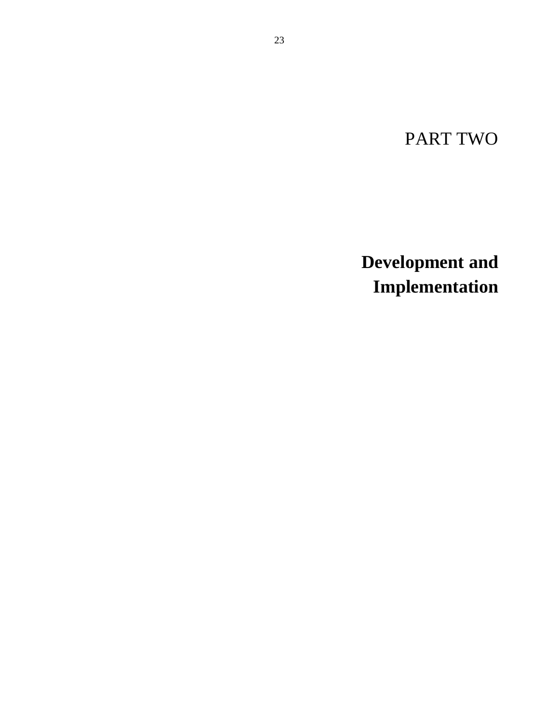PART TWO

**Development and Implementation**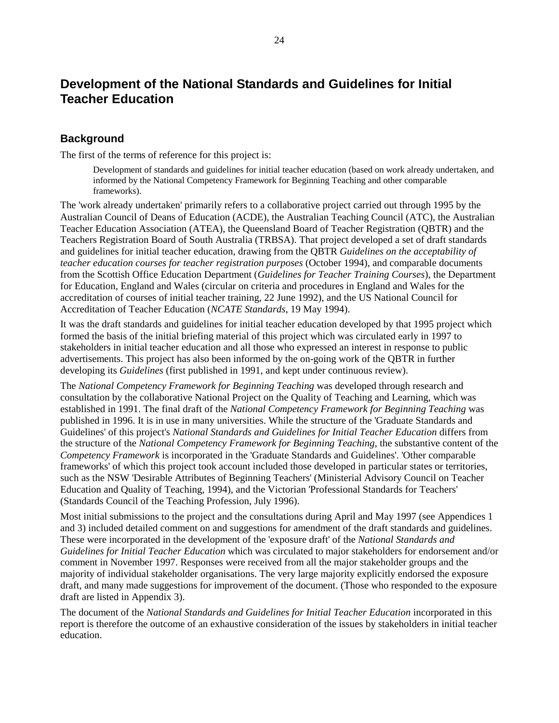# **Development of the National Standards and Guidelines for Initial Teacher Education**

# **Background**

The first of the terms of reference for this project is:

Development of standards and guidelines for initial teacher education (based on work already undertaken, and informed by the National Competency Framework for Beginning Teaching and other comparable frameworks).

The 'work already undertaken' primarily refers to a collaborative project carried out through 1995 by the Australian Council of Deans of Education (ACDE), the Australian Teaching Council (ATC), the Australian Teacher Education Association (ATEA), the Queensland Board of Teacher Registration (QBTR) and the Teachers Registration Board of South Australia (TRBSA). That project developed a set of draft standards and guidelines for initial teacher education, drawing from the QBTR *Guidelines on the acceptability of teacher education courses for teacher registration purposes* (October 1994), and comparable documents from the Scottish Office Education Department (*Guidelines for Teacher Training Courses*), the Department for Education, England and Wales (circular on criteria and procedures in England and Wales for the accreditation of courses of initial teacher training, 22 June 1992), and the US National Council for Accreditation of Teacher Education (*NCATE Standards*, 19 May 1994).

It was the draft standards and guidelines for initial teacher education developed by that 1995 project which formed the basis of the initial briefing material of this project which was circulated early in 1997 to stakeholders in initial teacher education and all those who expressed an interest in response to public advertisements. This project has also been informed by the on-going work of the QBTR in further developing its *Guidelines* (first published in 1991, and kept under continuous review).

The *National Competency Framework for Beginning Teaching* was developed through research and consultation by the collaborative National Project on the Quality of Teaching and Learning, which was established in 1991. The final draft of the *National Competency Framework for Beginning Teaching* was published in 1996. It is in use in many universities. While the structure of the 'Graduate Standards and Guidelines' of this project's *National Standards and Guidelines for Initial Teacher Education* differs from the structure of the *National Competency Framework for Beginning Teaching*, the substantive content of the *Competency Framework* is incorporated in the 'Graduate Standards and Guidelines'. 'Other comparable frameworks' of which this project took account included those developed in particular states or territories, such as the NSW 'Desirable Attributes of Beginning Teachers' (Ministerial Advisory Council on Teacher Education and Quality of Teaching, 1994), and the Victorian 'Professional Standards for Teachers' (Standards Council of the Teaching Profession, July 1996).

Most initial submissions to the project and the consultations during April and May 1997 (see Appendices 1 and 3) included detailed comment on and suggestions for amendment of the draft standards and guidelines. These were incorporated in the development of the 'exposure draft' of the *National Standards and Guidelines for Initial Teacher Education* which was circulated to major stakeholders for endorsement and/or comment in November 1997. Responses were received from all the major stakeholder groups and the majority of individual stakeholder organisations. The very large majority explicitly endorsed the exposure draft, and many made suggestions for improvement of the document. (Those who responded to the exposure draft are listed in Appendix 3).

The document of the *National Standards and Guidelines for Initial Teacher Education* incorporated in this report is therefore the outcome of an exhaustive consideration of the issues by stakeholders in initial teacher education.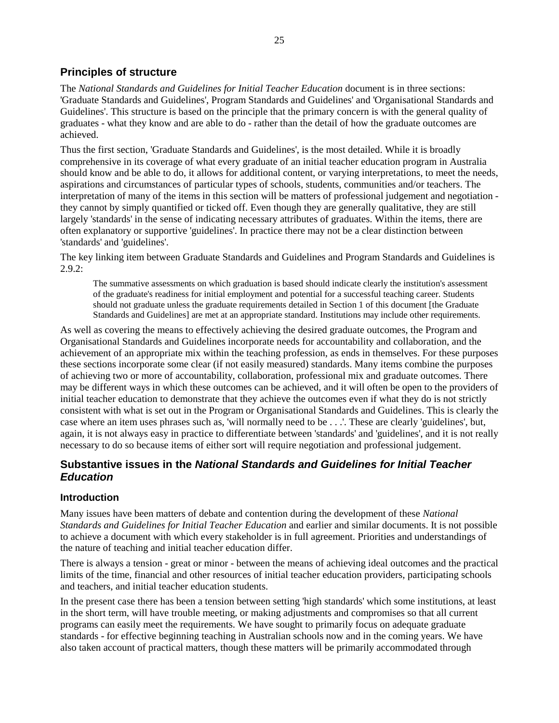# **Principles of structure**

The *National Standards and Guidelines for Initial Teacher Education* document is in three sections: 'Graduate Standards and Guidelines', Program Standards and Guidelines' and 'Organisational Standards and Guidelines'. This structure is based on the principle that the primary concern is with the general quality of graduates - what they know and are able to do - rather than the detail of how the graduate outcomes are achieved.

Thus the first section, 'Graduate Standards and Guidelines', is the most detailed. While it is broadly comprehensive in its coverage of what every graduate of an initial teacher education program in Australia should know and be able to do, it allows for additional content, or varying interpretations, to meet the needs, aspirations and circumstances of particular types of schools, students, communities and/or teachers. The interpretation of many of the items in this section will be matters of professional judgement and negotiation they cannot by simply quantified or ticked off. Even though they are generally qualitative, they are still largely 'standards' in the sense of indicating necessary attributes of graduates. Within the items, there are often explanatory or supportive 'guidelines'. In practice there may not be a clear distinction between 'standards' and 'guidelines'.

The key linking item between Graduate Standards and Guidelines and Program Standards and Guidelines is  $2.9.2$ :

The summative assessments on which graduation is based should indicate clearly the institution's assessment of the graduate's readiness for initial employment and potential for a successful teaching career. Students should not graduate unless the graduate requirements detailed in Section 1 of this document [the Graduate Standards and Guidelines] are met at an appropriate standard. Institutions may include other requirements.

As well as covering the means to effectively achieving the desired graduate outcomes, the Program and Organisational Standards and Guidelines incorporate needs for accountability and collaboration, and the achievement of an appropriate mix within the teaching profession, as ends in themselves. For these purposes these sections incorporate some clear (if not easily measured) standards. Many items combine the purposes of achieving two or more of accountability, collaboration, professional mix and graduate outcomes. There may be different ways in which these outcomes can be achieved, and it will often be open to the providers of initial teacher education to demonstrate that they achieve the outcomes even if what they do is not strictly consistent with what is set out in the Program or Organisational Standards and Guidelines. This is clearly the case where an item uses phrases such as, 'will normally need to be . . .'. These are clearly 'guidelines', but, again, it is not always easy in practice to differentiate between 'standards' and 'guidelines', and it is not really necessary to do so because items of either sort will require negotiation and professional judgement.

# **Substantive issues in the** *National Standards and Guidelines for Initial Teacher Education*

# **Introduction**

Many issues have been matters of debate and contention during the development of these *National Standards and Guidelines for Initial Teacher Education* and earlier and similar documents. It is not possible to achieve a document with which every stakeholder is in full agreement. Priorities and understandings of the nature of teaching and initial teacher education differ.

There is always a tension - great or minor - between the means of achieving ideal outcomes and the practical limits of the time, financial and other resources of initial teacher education providers, participating schools and teachers, and initial teacher education students.

In the present case there has been a tension between setting 'high standards' which some institutions, at least in the short term, will have trouble meeting, or making adjustments and compromises so that all current programs can easily meet the requirements. We have sought to primarily focus on adequate graduate standards - for effective beginning teaching in Australian schools now and in the coming years. We have also taken account of practical matters, though these matters will be primarily accommodated through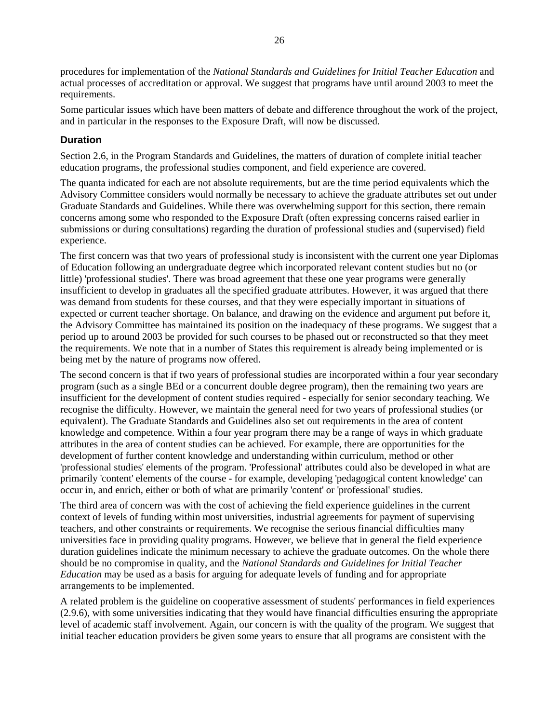procedures for implementation of the *National Standards and Guidelines for Initial Teacher Education* and actual processes of accreditation or approval. We suggest that programs have until around 2003 to meet the requirements.

Some particular issues which have been matters of debate and difference throughout the work of the project, and in particular in the responses to the Exposure Draft, will now be discussed.

# **Duration**

Section 2.6, in the Program Standards and Guidelines, the matters of duration of complete initial teacher education programs, the professional studies component, and field experience are covered.

The quanta indicated for each are not absolute requirements, but are the time period equivalents which the Advisory Committee considers would normally be necessary to achieve the graduate attributes set out under Graduate Standards and Guidelines. While there was overwhelming support for this section, there remain concerns among some who responded to the Exposure Draft (often expressing concerns raised earlier in submissions or during consultations) regarding the duration of professional studies and (supervised) field experience.

The first concern was that two years of professional study is inconsistent with the current one year Diplomas of Education following an undergraduate degree which incorporated relevant content studies but no (or little) 'professional studies'. There was broad agreement that these one year programs were generally insufficient to develop in graduates all the specified graduate attributes. However, it was argued that there was demand from students for these courses, and that they were especially important in situations of expected or current teacher shortage. On balance, and drawing on the evidence and argument put before it, the Advisory Committee has maintained its position on the inadequacy of these programs. We suggest that a period up to around 2003 be provided for such courses to be phased out or reconstructed so that they meet the requirements. We note that in a number of States this requirement is already being implemented or is being met by the nature of programs now offered.

The second concern is that if two years of professional studies are incorporated within a four year secondary program (such as a single BEd or a concurrent double degree program), then the remaining two years are insufficient for the development of content studies required - especially for senior secondary teaching. We recognise the difficulty. However, we maintain the general need for two years of professional studies (or equivalent). The Graduate Standards and Guidelines also set out requirements in the area of content knowledge and competence. Within a four year program there may be a range of ways in which graduate attributes in the area of content studies can be achieved. For example, there are opportunities for the development of further content knowledge and understanding within curriculum, method or other 'professional studies' elements of the program. 'Professional' attributes could also be developed in what are primarily 'content' elements of the course - for example, developing 'pedagogical content knowledge' can occur in, and enrich, either or both of what are primarily 'content' or 'professional' studies.

The third area of concern was with the cost of achieving the field experience guidelines in the current context of levels of funding within most universities, industrial agreements for payment of supervising teachers, and other constraints or requirements. We recognise the serious financial difficulties many universities face in providing quality programs. However, we believe that in general the field experience duration guidelines indicate the minimum necessary to achieve the graduate outcomes. On the whole there should be no compromise in quality, and the *National Standards and Guidelines for Initial Teacher Education* may be used as a basis for arguing for adequate levels of funding and for appropriate arrangements to be implemented.

A related problem is the guideline on cooperative assessment of students' performances in field experiences (2.9.6), with some universities indicating that they would have financial difficulties ensuring the appropriate level of academic staff involvement. Again, our concern is with the quality of the program. We suggest that initial teacher education providers be given some years to ensure that all programs are consistent with the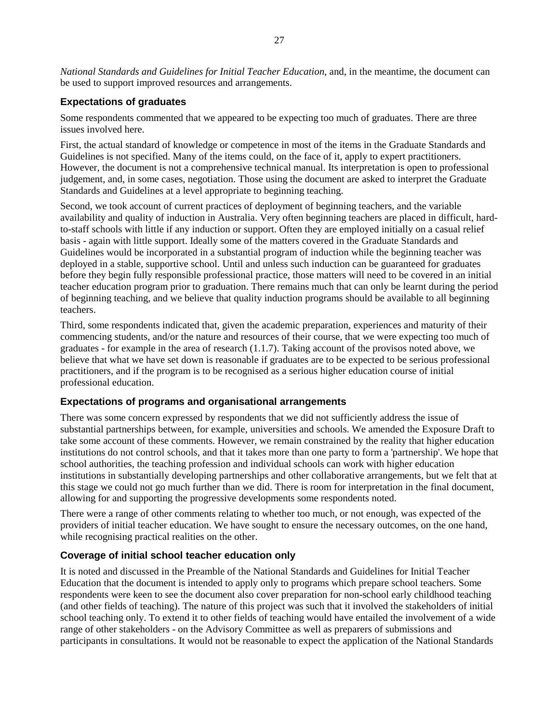*National Standards and Guidelines for Initial Teacher Education*, and, in the meantime, the document can be used to support improved resources and arrangements.

## **Expectations of graduates**

Some respondents commented that we appeared to be expecting too much of graduates. There are three issues involved here.

First, the actual standard of knowledge or competence in most of the items in the Graduate Standards and Guidelines is not specified. Many of the items could, on the face of it, apply to expert practitioners. However, the document is not a comprehensive technical manual. Its interpretation is open to professional judgement, and, in some cases, negotiation. Those using the document are asked to interpret the Graduate Standards and Guidelines at a level appropriate to beginning teaching.

Second, we took account of current practices of deployment of beginning teachers, and the variable availability and quality of induction in Australia. Very often beginning teachers are placed in difficult, hardto-staff schools with little if any induction or support. Often they are employed initially on a casual relief basis - again with little support. Ideally some of the matters covered in the Graduate Standards and Guidelines would be incorporated in a substantial program of induction while the beginning teacher was deployed in a stable, supportive school. Until and unless such induction can be guaranteed for graduates before they begin fully responsible professional practice, those matters will need to be covered in an initial teacher education program prior to graduation. There remains much that can only be learnt during the period of beginning teaching, and we believe that quality induction programs should be available to all beginning teachers.

Third, some respondents indicated that, given the academic preparation, experiences and maturity of their commencing students, and/or the nature and resources of their course, that we were expecting too much of graduates - for example in the area of research (1.1.7). Taking account of the provisos noted above, we believe that what we have set down is reasonable if graduates are to be expected to be serious professional practitioners, and if the program is to be recognised as a serious higher education course of initial professional education.

# **Expectations of programs and organisational arrangements**

There was some concern expressed by respondents that we did not sufficiently address the issue of substantial partnerships between, for example, universities and schools. We amended the Exposure Draft to take some account of these comments. However, we remain constrained by the reality that higher education institutions do not control schools, and that it takes more than one party to form a 'partnership'. We hope that school authorities, the teaching profession and individual schools can work with higher education institutions in substantially developing partnerships and other collaborative arrangements, but we felt that at this stage we could not go much further than we did. There is room for interpretation in the final document, allowing for and supporting the progressive developments some respondents noted.

There were a range of other comments relating to whether too much, or not enough, was expected of the providers of initial teacher education. We have sought to ensure the necessary outcomes, on the one hand, while recognising practical realities on the other.

#### **Coverage of initial school teacher education only**

It is noted and discussed in the Preamble of the National Standards and Guidelines for Initial Teacher Education that the document is intended to apply only to programs which prepare school teachers. Some respondents were keen to see the document also cover preparation for non-school early childhood teaching (and other fields of teaching). The nature of this project was such that it involved the stakeholders of initial school teaching only. To extend it to other fields of teaching would have entailed the involvement of a wide range of other stakeholders - on the Advisory Committee as well as preparers of submissions and participants in consultations. It would not be reasonable to expect the application of the National Standards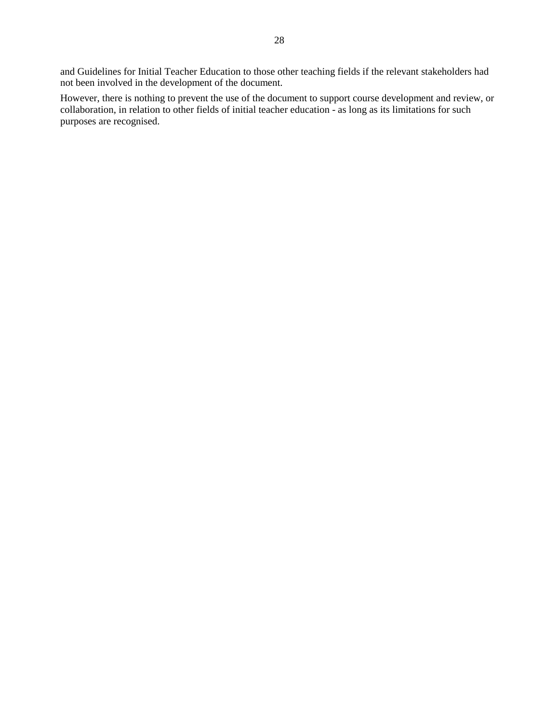and Guidelines for Initial Teacher Education to those other teaching fields if the relevant stakeholders had not been involved in the development of the document.

However, there is nothing to prevent the use of the document to support course development and review, or collaboration, in relation to other fields of initial teacher education - as long as its limitations for such purposes are recognised.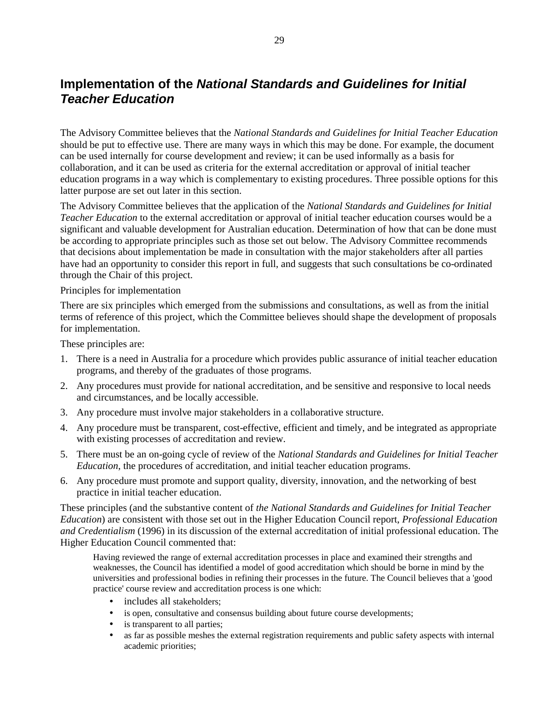# **Implementation of the** *National Standards and Guidelines for Initial Teacher Education*

The Advisory Committee believes that the *National Standards and Guidelines for Initial Teacher Education* should be put to effective use. There are many ways in which this may be done. For example, the document can be used internally for course development and review; it can be used informally as a basis for collaboration, and it can be used as criteria for the external accreditation or approval of initial teacher education programs in a way which is complementary to existing procedures. Three possible options for this latter purpose are set out later in this section.

The Advisory Committee believes that the application of the *National Standards and Guidelines for Initial Teacher Education* to the external accreditation or approval of initial teacher education courses would be a significant and valuable development for Australian education. Determination of how that can be done must be according to appropriate principles such as those set out below. The Advisory Committee recommends that decisions about implementation be made in consultation with the major stakeholders after all parties have had an opportunity to consider this report in full, and suggests that such consultations be co-ordinated through the Chair of this project.

#### Principles for implementation

There are six principles which emerged from the submissions and consultations, as well as from the initial terms of reference of this project, which the Committee believes should shape the development of proposals for implementation.

These principles are:

- 1. There is a need in Australia for a procedure which provides public assurance of initial teacher education programs, and thereby of the graduates of those programs.
- 2. Any procedures must provide for national accreditation, and be sensitive and responsive to local needs and circumstances, and be locally accessible.
- 3. Any procedure must involve major stakeholders in a collaborative structure.
- 4. Any procedure must be transparent, cost-effective, efficient and timely, and be integrated as appropriate with existing processes of accreditation and review.
- 5. There must be an on-going cycle of review of the *National Standards and Guidelines for Initial Teacher Education*, the procedures of accreditation, and initial teacher education programs.
- 6. Any procedure must promote and support quality, diversity, innovation, and the networking of best practice in initial teacher education.

These principles (and the substantive content of *the National Standards and Guidelines for Initial Teacher Education*) are consistent with those set out in the Higher Education Council report, *Professional Education and Credentialism* (1996) in its discussion of the external accreditation of initial professional education. The Higher Education Council commented that:

Having reviewed the range of external accreditation processes in place and examined their strengths and weaknesses, the Council has identified a model of good accreditation which should be borne in mind by the universities and professional bodies in refining their processes in the future. The Council believes that a 'good practice' course review and accreditation process is one which:

- includes all stakeholders;
- is open, consultative and consensus building about future course developments;
- is transparent to all parties:
- as far as possible meshes the external registration requirements and public safety aspects with internal academic priorities;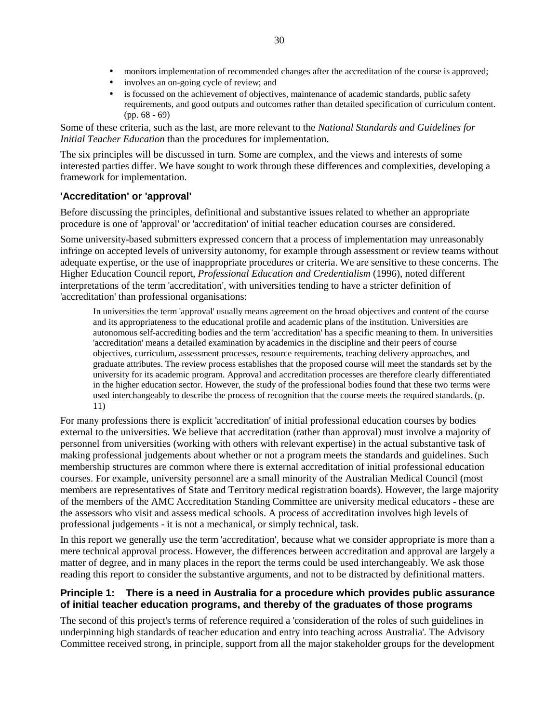- involves an on-going cycle of review; and
- is focussed on the achievement of objectives, maintenance of academic standards, public safety requirements, and good outputs and outcomes rather than detailed specification of curriculum content. (pp. 68 - 69)

Some of these criteria, such as the last, are more relevant to the *National Standards and Guidelines for Initial Teacher Education* than the procedures for implementation.

The six principles will be discussed in turn. Some are complex, and the views and interests of some interested parties differ. We have sought to work through these differences and complexities, developing a framework for implementation.

## **'Accreditation' or 'approval'**

Before discussing the principles, definitional and substantive issues related to whether an appropriate procedure is one of 'approval' or 'accreditation' of initial teacher education courses are considered.

Some university-based submitters expressed concern that a process of implementation may unreasonably infringe on accepted levels of university autonomy, for example through assessment or review teams without adequate expertise, or the use of inappropriate procedures or criteria. We are sensitive to these concerns. The Higher Education Council report, *Professional Education and Credentialism* (1996), noted different interpretations of the term 'accreditation', with universities tending to have a stricter definition of 'accreditation' than professional organisations:

In universities the term 'approval' usually means agreement on the broad objectives and content of the course and its appropriateness to the educational profile and academic plans of the institution. Universities are autonomous self-accrediting bodies and the term 'accreditation' has a specific meaning to them. In universities 'accreditation' means a detailed examination by academics in the discipline and their peers of course objectives, curriculum, assessment processes, resource requirements, teaching delivery approaches, and graduate attributes. The review process establishes that the proposed course will meet the standards set by the university for its academic program. Approval and accreditation processes are therefore clearly differentiated in the higher education sector. However, the study of the professional bodies found that these two terms were used interchangeably to describe the process of recognition that the course meets the required standards. (p. 11)

For many professions there is explicit 'accreditation' of initial professional education courses by bodies external to the universities. We believe that accreditation (rather than approval) must involve a majority of personnel from universities (working with others with relevant expertise) in the actual substantive task of making professional judgements about whether or not a program meets the standards and guidelines. Such membership structures are common where there is external accreditation of initial professional education courses. For example, university personnel are a small minority of the Australian Medical Council (most members are representatives of State and Territory medical registration boards). However, the large majority of the members of the AMC Accreditation Standing Committee are university medical educators - these are the assessors who visit and assess medical schools. A process of accreditation involves high levels of professional judgements - it is not a mechanical, or simply technical, task.

In this report we generally use the term 'accreditation', because what we consider appropriate is more than a mere technical approval process. However, the differences between accreditation and approval are largely a matter of degree, and in many places in the report the terms could be used interchangeably. We ask those reading this report to consider the substantive arguments, and not to be distracted by definitional matters.

## **Principle 1: There is a need in Australia for a procedure which provides public assurance of initial teacher education programs, and thereby of the graduates of those programs**

The second of this project's terms of reference required a 'consideration of the roles of such guidelines in underpinning high standards of teacher education and entry into teaching across Australia'. The Advisory Committee received strong, in principle, support from all the major stakeholder groups for the development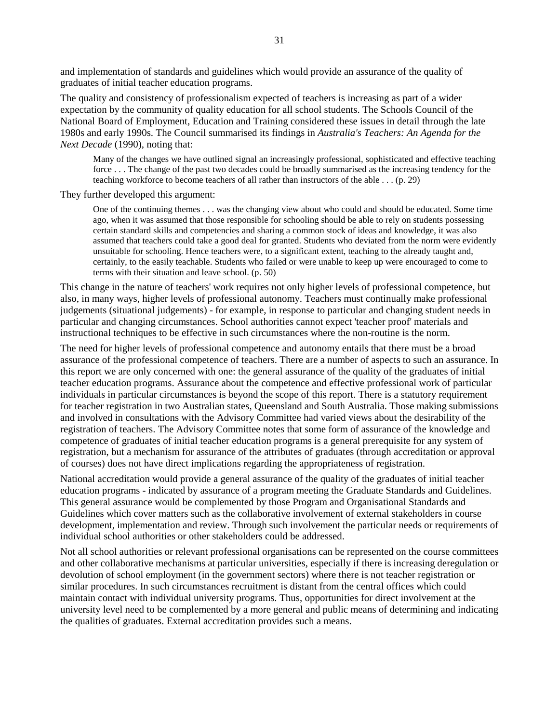and implementation of standards and guidelines which would provide an assurance of the quality of graduates of initial teacher education programs.

The quality and consistency of professionalism expected of teachers is increasing as part of a wider expectation by the community of quality education for all school students. The Schools Council of the National Board of Employment, Education and Training considered these issues in detail through the late 1980s and early 1990s. The Council summarised its findings in *Australia's Teachers: An Agenda for the Next Decade* (1990), noting that:

Many of the changes we have outlined signal an increasingly professional, sophisticated and effective teaching force . . . The change of the past two decades could be broadly summarised as the increasing tendency for the teaching workforce to become teachers of all rather than instructors of the able . . . (p. 29)

They further developed this argument:

One of the continuing themes . . . was the changing view about who could and should be educated. Some time ago, when it was assumed that those responsible for schooling should be able to rely on students possessing certain standard skills and competencies and sharing a common stock of ideas and knowledge, it was also assumed that teachers could take a good deal for granted. Students who deviated from the norm were evidently unsuitable for schooling. Hence teachers were, to a significant extent, teaching to the already taught and, certainly, to the easily teachable. Students who failed or were unable to keep up were encouraged to come to terms with their situation and leave school. (p. 50)

This change in the nature of teachers' work requires not only higher levels of professional competence, but also, in many ways, higher levels of professional autonomy. Teachers must continually make professional judgements (situational judgements) - for example, in response to particular and changing student needs in particular and changing circumstances. School authorities cannot expect 'teacher proof' materials and instructional techniques to be effective in such circumstances where the non-routine is the norm.

The need for higher levels of professional competence and autonomy entails that there must be a broad assurance of the professional competence of teachers. There are a number of aspects to such an assurance. In this report we are only concerned with one: the general assurance of the quality of the graduates of initial teacher education programs. Assurance about the competence and effective professional work of particular individuals in particular circumstances is beyond the scope of this report. There is a statutory requirement for teacher registration in two Australian states, Queensland and South Australia. Those making submissions and involved in consultations with the Advisory Committee had varied views about the desirability of the registration of teachers. The Advisory Committee notes that some form of assurance of the knowledge and competence of graduates of initial teacher education programs is a general prerequisite for any system of registration, but a mechanism for assurance of the attributes of graduates (through accreditation or approval of courses) does not have direct implications regarding the appropriateness of registration.

National accreditation would provide a general assurance of the quality of the graduates of initial teacher education programs - indicated by assurance of a program meeting the Graduate Standards and Guidelines. This general assurance would be complemented by those Program and Organisational Standards and Guidelines which cover matters such as the collaborative involvement of external stakeholders in course development, implementation and review. Through such involvement the particular needs or requirements of individual school authorities or other stakeholders could be addressed.

Not all school authorities or relevant professional organisations can be represented on the course committees and other collaborative mechanisms at particular universities, especially if there is increasing deregulation or devolution of school employment (in the government sectors) where there is not teacher registration or similar procedures. In such circumstances recruitment is distant from the central offices which could maintain contact with individual university programs. Thus, opportunities for direct involvement at the university level need to be complemented by a more general and public means of determining and indicating the qualities of graduates. External accreditation provides such a means.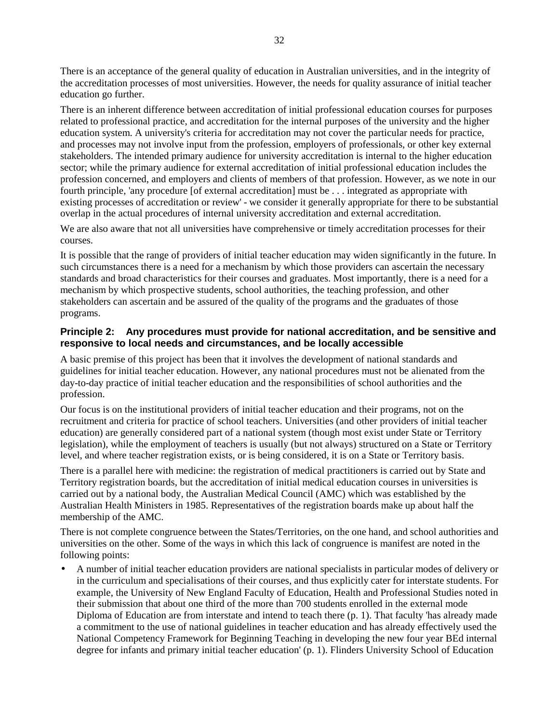There is an acceptance of the general quality of education in Australian universities, and in the integrity of the accreditation processes of most universities. However, the needs for quality assurance of initial teacher education go further.

There is an inherent difference between accreditation of initial professional education courses for purposes related to professional practice, and accreditation for the internal purposes of the university and the higher education system. A university's criteria for accreditation may not cover the particular needs for practice, and processes may not involve input from the profession, employers of professionals, or other key external stakeholders. The intended primary audience for university accreditation is internal to the higher education sector; while the primary audience for external accreditation of initial professional education includes the profession concerned, and employers and clients of members of that profession. However, as we note in our fourth principle, 'any procedure [of external accreditation] must be . . . integrated as appropriate with existing processes of accreditation or review' - we consider it generally appropriate for there to be substantial overlap in the actual procedures of internal university accreditation and external accreditation.

We are also aware that not all universities have comprehensive or timely accreditation processes for their courses.

It is possible that the range of providers of initial teacher education may widen significantly in the future. In such circumstances there is a need for a mechanism by which those providers can ascertain the necessary standards and broad characteristics for their courses and graduates. Most importantly, there is a need for a mechanism by which prospective students, school authorities, the teaching profession, and other stakeholders can ascertain and be assured of the quality of the programs and the graduates of those programs.

## **Principle 2: Any procedures must provide for national accreditation, and be sensitive and responsive to local needs and circumstances, and be locally accessible**

A basic premise of this project has been that it involves the development of national standards and guidelines for initial teacher education. However, any national procedures must not be alienated from the day-to-day practice of initial teacher education and the responsibilities of school authorities and the profession.

Our focus is on the institutional providers of initial teacher education and their programs, not on the recruitment and criteria for practice of school teachers. Universities (and other providers of initial teacher education) are generally considered part of a national system (though most exist under State or Territory legislation), while the employment of teachers is usually (but not always) structured on a State or Territory level, and where teacher registration exists, or is being considered, it is on a State or Territory basis.

There is a parallel here with medicine: the registration of medical practitioners is carried out by State and Territory registration boards, but the accreditation of initial medical education courses in universities is carried out by a national body, the Australian Medical Council (AMC) which was established by the Australian Health Ministers in 1985. Representatives of the registration boards make up about half the membership of the AMC.

There is not complete congruence between the States/Territories, on the one hand, and school authorities and universities on the other. Some of the ways in which this lack of congruence is manifest are noted in the following points:

• A number of initial teacher education providers are national specialists in particular modes of delivery or in the curriculum and specialisations of their courses, and thus explicitly cater for interstate students. For example, the University of New England Faculty of Education, Health and Professional Studies noted in their submission that about one third of the more than 700 students enrolled in the external mode Diploma of Education are from interstate and intend to teach there (p. 1). That faculty 'has already made a commitment to the use of national guidelines in teacher education and has already effectively used the National Competency Framework for Beginning Teaching in developing the new four year BEd internal degree for infants and primary initial teacher education' (p. 1). Flinders University School of Education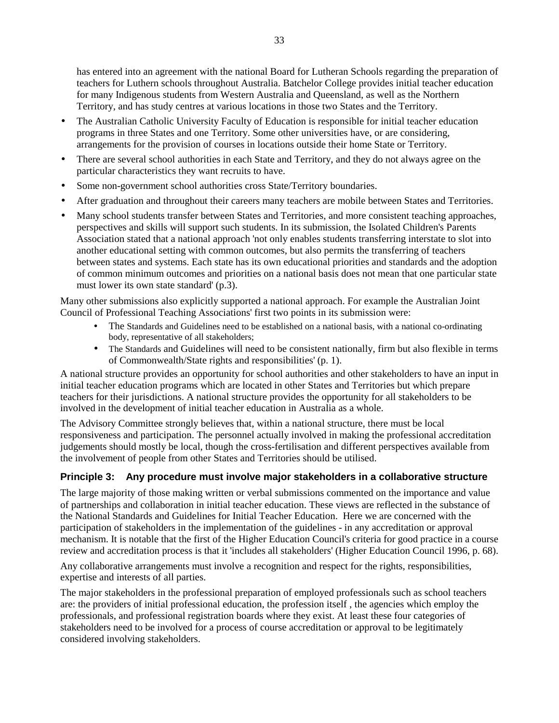has entered into an agreement with the national Board for Lutheran Schools regarding the preparation of teachers for Luthern schools throughout Australia. Batchelor College provides initial teacher education for many Indigenous students from Western Australia and Queensland, as well as the Northern Territory, and has study centres at various locations in those two States and the Territory.

- The Australian Catholic University Faculty of Education is responsible for initial teacher education programs in three States and one Territory. Some other universities have, or are considering, arrangements for the provision of courses in locations outside their home State or Territory.
- There are several school authorities in each State and Territory, and they do not always agree on the particular characteristics they want recruits to have.
- Some non-government school authorities cross State/Territory boundaries.
- After graduation and throughout their careers many teachers are mobile between States and Territories.
- Many school students transfer between States and Territories, and more consistent teaching approaches, perspectives and skills will support such students. In its submission, the Isolated Children's Parents Association stated that a national approach 'not only enables students transferring interstate to slot into another educational setting with common outcomes, but also permits the transferring of teachers between states and systems. Each state has its own educational priorities and standards and the adoption of common minimum outcomes and priorities on a national basis does not mean that one particular state must lower its own state standard' (p.3).

Many other submissions also explicitly supported a national approach. For example the Australian Joint Council of Professional Teaching Associations' first two points in its submission were:

- The Standards and Guidelines need to be established on a national basis, with a national co-ordinating body, representative of all stakeholders;
- The Standards and Guidelines will need to be consistent nationally, firm but also flexible in terms of Commonwealth/State rights and responsibilities' (p. 1).

A national structure provides an opportunity for school authorities and other stakeholders to have an input in initial teacher education programs which are located in other States and Territories but which prepare teachers for their jurisdictions. A national structure provides the opportunity for all stakeholders to be involved in the development of initial teacher education in Australia as a whole.

The Advisory Committee strongly believes that, within a national structure, there must be local responsiveness and participation. The personnel actually involved in making the professional accreditation judgements should mostly be local, though the cross-fertilisation and different perspectives available from the involvement of people from other States and Territories should be utilised.

# **Principle 3: Any procedure must involve major stakeholders in a collaborative structure**

The large majority of those making written or verbal submissions commented on the importance and value of partnerships and collaboration in initial teacher education. These views are reflected in the substance of the National Standards and Guidelines for Initial Teacher Education. Here we are concerned with the participation of stakeholders in the implementation of the guidelines - in any accreditation or approval mechanism. It is notable that the first of the Higher Education Council's criteria for good practice in a course review and accreditation process is that it 'includes all stakeholders' (Higher Education Council 1996, p. 68).

Any collaborative arrangements must involve a recognition and respect for the rights, responsibilities, expertise and interests of all parties.

The major stakeholders in the professional preparation of employed professionals such as school teachers are: the providers of initial professional education, the profession itself , the agencies which employ the professionals, and professional registration boards where they exist. At least these four categories of stakeholders need to be involved for a process of course accreditation or approval to be legitimately considered involving stakeholders.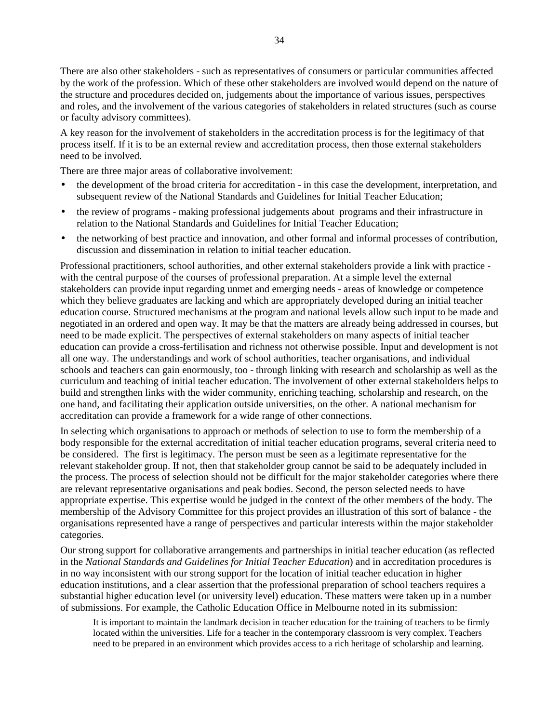There are also other stakeholders - such as representatives of consumers or particular communities affected by the work of the profession. Which of these other stakeholders are involved would depend on the nature of the structure and procedures decided on, judgements about the importance of various issues, perspectives and roles, and the involvement of the various categories of stakeholders in related structures (such as course or faculty advisory committees).

A key reason for the involvement of stakeholders in the accreditation process is for the legitimacy of that process itself. If it is to be an external review and accreditation process, then those external stakeholders need to be involved.

There are three major areas of collaborative involvement:

- the development of the broad criteria for accreditation in this case the development, interpretation, and subsequent review of the National Standards and Guidelines for Initial Teacher Education;
- the review of programs making professional judgements about programs and their infrastructure in relation to the National Standards and Guidelines for Initial Teacher Education;
- the networking of best practice and innovation, and other formal and informal processes of contribution, discussion and dissemination in relation to initial teacher education.

Professional practitioners, school authorities, and other external stakeholders provide a link with practice with the central purpose of the courses of professional preparation. At a simple level the external stakeholders can provide input regarding unmet and emerging needs - areas of knowledge or competence which they believe graduates are lacking and which are appropriately developed during an initial teacher education course. Structured mechanisms at the program and national levels allow such input to be made and negotiated in an ordered and open way. It may be that the matters are already being addressed in courses, but need to be made explicit. The perspectives of external stakeholders on many aspects of initial teacher education can provide a cross-fertilisation and richness not otherwise possible. Input and development is not all one way. The understandings and work of school authorities, teacher organisations, and individual schools and teachers can gain enormously, too - through linking with research and scholarship as well as the curriculum and teaching of initial teacher education. The involvement of other external stakeholders helps to build and strengthen links with the wider community, enriching teaching, scholarship and research, on the one hand, and facilitating their application outside universities, on the other. A national mechanism for accreditation can provide a framework for a wide range of other connections.

In selecting which organisations to approach or methods of selection to use to form the membership of a body responsible for the external accreditation of initial teacher education programs, several criteria need to be considered. The first is legitimacy. The person must be seen as a legitimate representative for the relevant stakeholder group. If not, then that stakeholder group cannot be said to be adequately included in the process. The process of selection should not be difficult for the major stakeholder categories where there are relevant representative organisations and peak bodies. Second, the person selected needs to have appropriate expertise. This expertise would be judged in the context of the other members of the body. The membership of the Advisory Committee for this project provides an illustration of this sort of balance - the organisations represented have a range of perspectives and particular interests within the major stakeholder categories.

Our strong support for collaborative arrangements and partnerships in initial teacher education (as reflected in the *National Standards and Guidelines for Initial Teacher Education*) and in accreditation procedures is in no way inconsistent with our strong support for the location of initial teacher education in higher education institutions, and a clear assertion that the professional preparation of school teachers requires a substantial higher education level (or university level) education. These matters were taken up in a number of submissions. For example, the Catholic Education Office in Melbourne noted in its submission:

It is important to maintain the landmark decision in teacher education for the training of teachers to be firmly located within the universities. Life for a teacher in the contemporary classroom is very complex. Teachers need to be prepared in an environment which provides access to a rich heritage of scholarship and learning.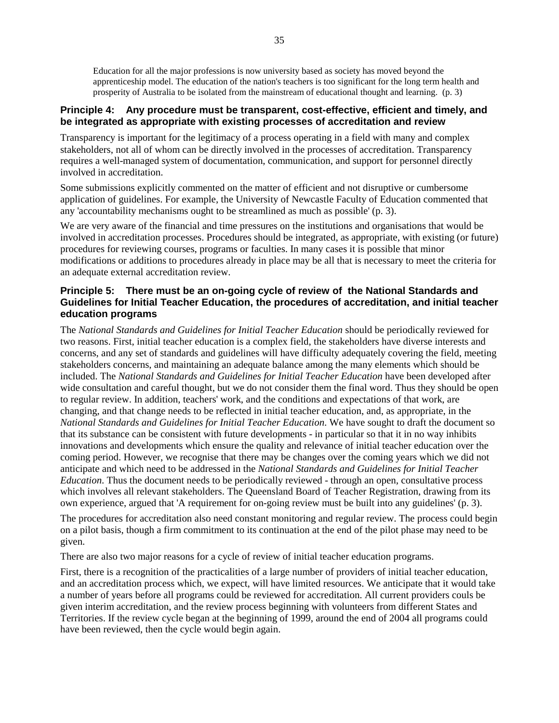Education for all the major professions is now university based as society has moved beyond the apprenticeship model. The education of the nation's teachers is too significant for the long term health and prosperity of Australia to be isolated from the mainstream of educational thought and learning. (p. 3)

## **Principle 4: Any procedure must be transparent, cost-effective, efficient and timely, and be integrated as appropriate with existing processes of accreditation and review**

Transparency is important for the legitimacy of a process operating in a field with many and complex stakeholders, not all of whom can be directly involved in the processes of accreditation. Transparency requires a well-managed system of documentation, communication, and support for personnel directly involved in accreditation.

Some submissions explicitly commented on the matter of efficient and not disruptive or cumbersome application of guidelines. For example, the University of Newcastle Faculty of Education commented that any 'accountability mechanisms ought to be streamlined as much as possible' (p. 3).

We are very aware of the financial and time pressures on the institutions and organisations that would be involved in accreditation processes. Procedures should be integrated, as appropriate, with existing (or future) procedures for reviewing courses, programs or faculties. In many cases it is possible that minor modifications or additions to procedures already in place may be all that is necessary to meet the criteria for an adequate external accreditation review.

## **Principle 5: There must be an on-going cycle of review of the National Standards and Guidelines for Initial Teacher Education, the procedures of accreditation, and initial teacher education programs**

The *National Standards and Guidelines for Initial Teacher Education* should be periodically reviewed for two reasons. First, initial teacher education is a complex field, the stakeholders have diverse interests and concerns, and any set of standards and guidelines will have difficulty adequately covering the field, meeting stakeholders concerns, and maintaining an adequate balance among the many elements which should be included. The *National Standards and Guidelines for Initial Teacher Education* have been developed after wide consultation and careful thought, but we do not consider them the final word. Thus they should be open to regular review. In addition, teachers' work, and the conditions and expectations of that work, are changing, and that change needs to be reflected in initial teacher education, and, as appropriate, in the *National Standards and Guidelines for Initial Teacher Education*. We have sought to draft the document so that its substance can be consistent with future developments - in particular so that it in no way inhibits innovations and developments which ensure the quality and relevance of initial teacher education over the coming period. However, we recognise that there may be changes over the coming years which we did not anticipate and which need to be addressed in the *National Standards and Guidelines for Initial Teacher Education*. Thus the document needs to be periodically reviewed - through an open, consultative process which involves all relevant stakeholders. The Queensland Board of Teacher Registration, drawing from its own experience, argued that 'A requirement for on-going review must be built into any guidelines' (p. 3).

The procedures for accreditation also need constant monitoring and regular review. The process could begin on a pilot basis, though a firm commitment to its continuation at the end of the pilot phase may need to be given.

There are also two major reasons for a cycle of review of initial teacher education programs.

First, there is a recognition of the practicalities of a large number of providers of initial teacher education, and an accreditation process which, we expect, will have limited resources. We anticipate that it would take a number of years before all programs could be reviewed for accreditation. All current providers couls be given interim accreditation, and the review process beginning with volunteers from different States and Territories. If the review cycle began at the beginning of 1999, around the end of 2004 all programs could have been reviewed, then the cycle would begin again.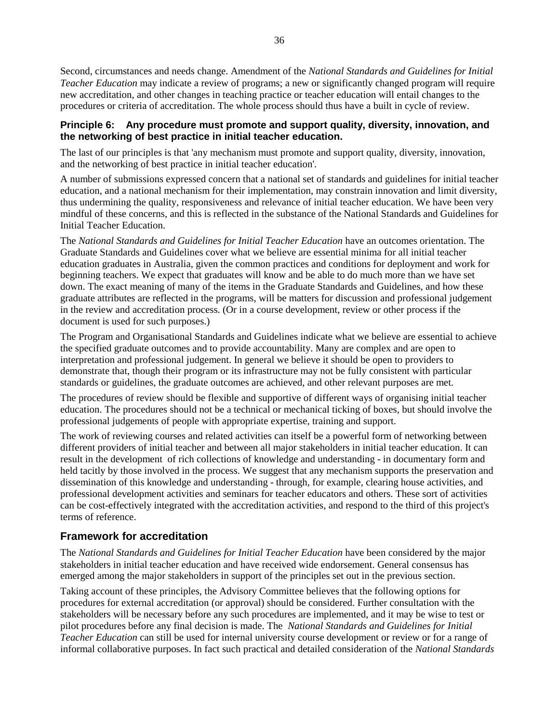Second, circumstances and needs change. Amendment of the *National Standards and Guidelines for Initial Teacher Education* may indicate a review of programs; a new or significantly changed program will require new accreditation, and other changes in teaching practice or teacher education will entail changes to the procedures or criteria of accreditation. The whole process should thus have a built in cycle of review.

## **Principle 6: Any procedure must promote and support quality, diversity, innovation, and the networking of best practice in initial teacher education.**

The last of our principles is that 'any mechanism must promote and support quality, diversity, innovation, and the networking of best practice in initial teacher education'.

A number of submissions expressed concern that a national set of standards and guidelines for initial teacher education, and a national mechanism for their implementation, may constrain innovation and limit diversity, thus undermining the quality, responsiveness and relevance of initial teacher education. We have been very mindful of these concerns, and this is reflected in the substance of the National Standards and Guidelines for Initial Teacher Education.

The *National Standards and Guidelines for Initial Teacher Education* have an outcomes orientation. The Graduate Standards and Guidelines cover what we believe are essential minima for all initial teacher education graduates in Australia, given the common practices and conditions for deployment and work for beginning teachers. We expect that graduates will know and be able to do much more than we have set down. The exact meaning of many of the items in the Graduate Standards and Guidelines, and how these graduate attributes are reflected in the programs, will be matters for discussion and professional judgement in the review and accreditation process. (Or in a course development, review or other process if the document is used for such purposes.)

The Program and Organisational Standards and Guidelines indicate what we believe are essential to achieve the specified graduate outcomes and to provide accountability. Many are complex and are open to interpretation and professional judgement. In general we believe it should be open to providers to demonstrate that, though their program or its infrastructure may not be fully consistent with particular standards or guidelines, the graduate outcomes are achieved, and other relevant purposes are met.

The procedures of review should be flexible and supportive of different ways of organising initial teacher education. The procedures should not be a technical or mechanical ticking of boxes, but should involve the professional judgements of people with appropriate expertise, training and support.

The work of reviewing courses and related activities can itself be a powerful form of networking between different providers of initial teacher and between all major stakeholders in initial teacher education. It can result in the development of rich collections of knowledge and understanding - in documentary form and held tacitly by those involved in the process. We suggest that any mechanism supports the preservation and dissemination of this knowledge and understanding - through, for example, clearing house activities, and professional development activities and seminars for teacher educators and others. These sort of activities can be cost-effectively integrated with the accreditation activities, and respond to the third of this project's terms of reference.

# **Framework for accreditation**

The *National Standards and Guidelines for Initial Teacher Education* have been considered by the major stakeholders in initial teacher education and have received wide endorsement. General consensus has emerged among the major stakeholders in support of the principles set out in the previous section.

Taking account of these principles, the Advisory Committee believes that the following options for procedures for external accreditation (or approval) should be considered. Further consultation with the stakeholders will be necessary before any such procedures are implemented, and it may be wise to test or pilot procedures before any final decision is made. The *National Standards and Guidelines for Initial Teacher Education* can still be used for internal university course development or review or for a range of informal collaborative purposes. In fact such practical and detailed consideration of the *National Standards*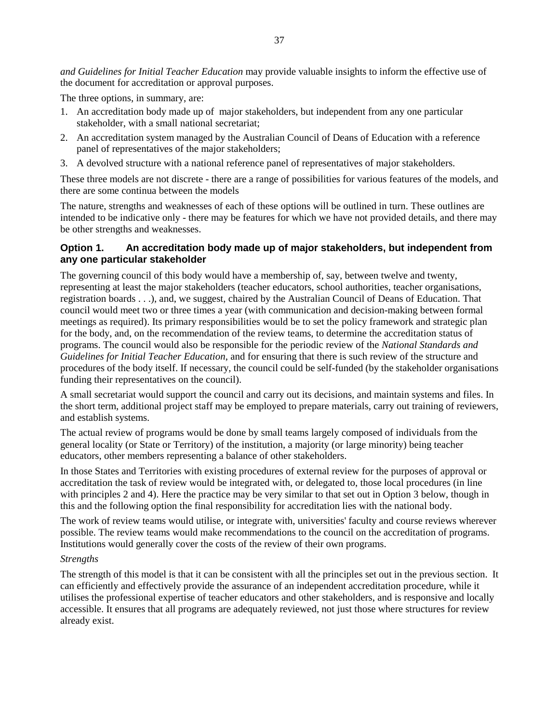*and Guidelines for Initial Teacher Education* may provide valuable insights to inform the effective use of the document for accreditation or approval purposes.

The three options, in summary, are:

- 1. An accreditation body made up of major stakeholders, but independent from any one particular stakeholder, with a small national secretariat;
- 2. An accreditation system managed by the Australian Council of Deans of Education with a reference panel of representatives of the major stakeholders;
- 3. A devolved structure with a national reference panel of representatives of major stakeholders.

These three models are not discrete - there are a range of possibilities for various features of the models, and there are some continua between the models

The nature, strengths and weaknesses of each of these options will be outlined in turn. These outlines are intended to be indicative only - there may be features for which we have not provided details, and there may be other strengths and weaknesses.

## **Option 1. An accreditation body made up of major stakeholders, but independent from any one particular stakeholder**

The governing council of this body would have a membership of, say, between twelve and twenty, representing at least the major stakeholders (teacher educators, school authorities, teacher organisations, registration boards . . .), and, we suggest, chaired by the Australian Council of Deans of Education. That council would meet two or three times a year (with communication and decision-making between formal meetings as required). Its primary responsibilities would be to set the policy framework and strategic plan for the body, and, on the recommendation of the review teams, to determine the accreditation status of programs. The council would also be responsible for the periodic review of the *National Standards and Guidelines for Initial Teacher Education*, and for ensuring that there is such review of the structure and procedures of the body itself. If necessary, the council could be self-funded (by the stakeholder organisations funding their representatives on the council).

A small secretariat would support the council and carry out its decisions, and maintain systems and files. In the short term, additional project staff may be employed to prepare materials, carry out training of reviewers, and establish systems.

The actual review of programs would be done by small teams largely composed of individuals from the general locality (or State or Territory) of the institution, a majority (or large minority) being teacher educators, other members representing a balance of other stakeholders.

In those States and Territories with existing procedures of external review for the purposes of approval or accreditation the task of review would be integrated with, or delegated to, those local procedures (in line with principles 2 and 4). Here the practice may be very similar to that set out in Option 3 below, though in this and the following option the final responsibility for accreditation lies with the national body.

The work of review teams would utilise, or integrate with, universities' faculty and course reviews wherever possible. The review teams would make recommendations to the council on the accreditation of programs. Institutions would generally cover the costs of the review of their own programs.

#### *Strengths*

The strength of this model is that it can be consistent with all the principles set out in the previous section. It can efficiently and effectively provide the assurance of an independent accreditation procedure, while it utilises the professional expertise of teacher educators and other stakeholders, and is responsive and locally accessible. It ensures that all programs are adequately reviewed, not just those where structures for review already exist.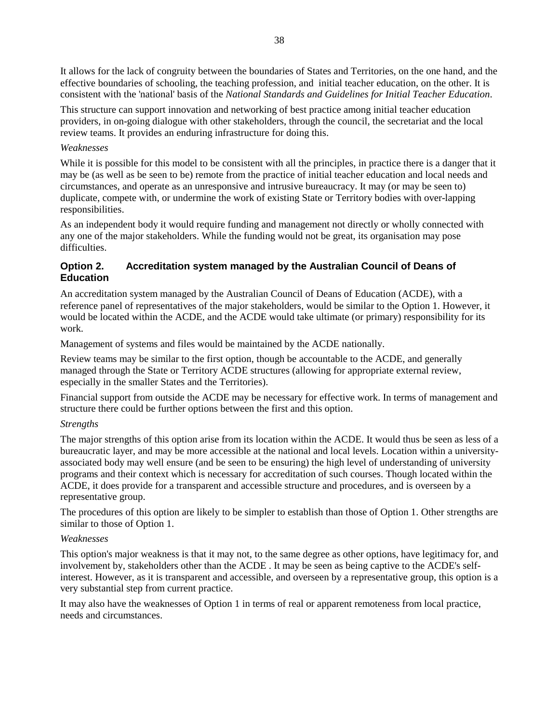It allows for the lack of congruity between the boundaries of States and Territories, on the one hand, and the effective boundaries of schooling, the teaching profession, and initial teacher education, on the other. It is consistent with the 'national' basis of the *National Standards and Guidelines for Initial Teacher Education*.

This structure can support innovation and networking of best practice among initial teacher education providers, in on-going dialogue with other stakeholders, through the council, the secretariat and the local review teams. It provides an enduring infrastructure for doing this.

#### *Weaknesses*

While it is possible for this model to be consistent with all the principles, in practice there is a danger that it may be (as well as be seen to be) remote from the practice of initial teacher education and local needs and circumstances, and operate as an unresponsive and intrusive bureaucracy. It may (or may be seen to) duplicate, compete with, or undermine the work of existing State or Territory bodies with over-lapping responsibilities.

As an independent body it would require funding and management not directly or wholly connected with any one of the major stakeholders. While the funding would not be great, its organisation may pose difficulties.

# **Option 2. Accreditation system managed by the Australian Council of Deans of Education**

An accreditation system managed by the Australian Council of Deans of Education (ACDE), with a reference panel of representatives of the major stakeholders, would be similar to the Option 1. However, it would be located within the ACDE, and the ACDE would take ultimate (or primary) responsibility for its work.

Management of systems and files would be maintained by the ACDE nationally.

Review teams may be similar to the first option, though be accountable to the ACDE, and generally managed through the State or Territory ACDE structures (allowing for appropriate external review, especially in the smaller States and the Territories).

Financial support from outside the ACDE may be necessary for effective work. In terms of management and structure there could be further options between the first and this option.

# *Strengths*

The major strengths of this option arise from its location within the ACDE. It would thus be seen as less of a bureaucratic layer, and may be more accessible at the national and local levels. Location within a universityassociated body may well ensure (and be seen to be ensuring) the high level of understanding of university programs and their context which is necessary for accreditation of such courses. Though located within the ACDE, it does provide for a transparent and accessible structure and procedures, and is overseen by a representative group.

The procedures of this option are likely to be simpler to establish than those of Option 1. Other strengths are similar to those of Option 1.

# *Weaknesses*

This option's major weakness is that it may not, to the same degree as other options, have legitimacy for, and involvement by, stakeholders other than the ACDE . It may be seen as being captive to the ACDE's selfinterest. However, as it is transparent and accessible, and overseen by a representative group, this option is a very substantial step from current practice.

It may also have the weaknesses of Option 1 in terms of real or apparent remoteness from local practice, needs and circumstances.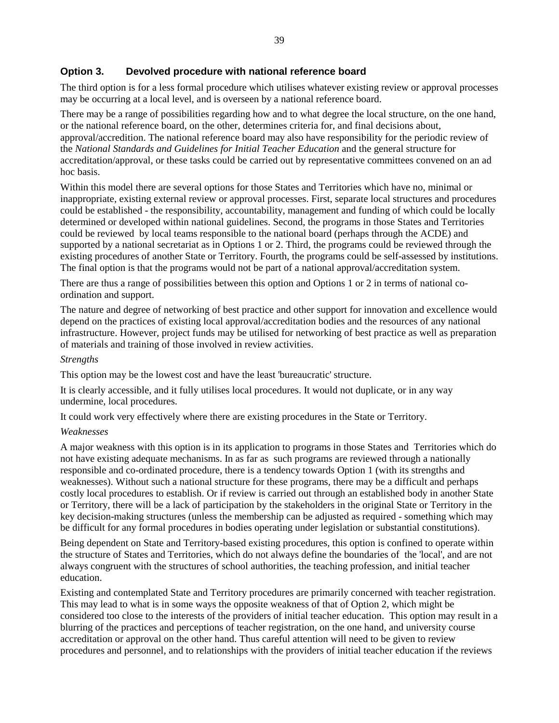## **Option 3. Devolved procedure with national reference board**

The third option is for a less formal procedure which utilises whatever existing review or approval processes may be occurring at a local level, and is overseen by a national reference board.

There may be a range of possibilities regarding how and to what degree the local structure, on the one hand, or the national reference board, on the other, determines criteria for, and final decisions about, approval/accredition. The national reference board may also have responsibility for the periodic review of the *National Standards and Guidelines for Initial Teacher Education* and the general structure for accreditation/approval, or these tasks could be carried out by representative committees convened on an ad hoc basis.

Within this model there are several options for those States and Territories which have no, minimal or inappropriate, existing external review or approval processes. First, separate local structures and procedures could be established - the responsibility, accountability, management and funding of which could be locally determined or developed within national guidelines. Second, the programs in those States and Territories could be reviewed by local teams responsible to the national board (perhaps through the ACDE) and supported by a national secretariat as in Options 1 or 2. Third, the programs could be reviewed through the existing procedures of another State or Territory. Fourth, the programs could be self-assessed by institutions. The final option is that the programs would not be part of a national approval/accreditation system.

There are thus a range of possibilities between this option and Options 1 or 2 in terms of national coordination and support.

The nature and degree of networking of best practice and other support for innovation and excellence would depend on the practices of existing local approval/accreditation bodies and the resources of any national infrastructure. However, project funds may be utilised for networking of best practice as well as preparation of materials and training of those involved in review activities.

#### *Strengths*

This option may be the lowest cost and have the least 'bureaucratic' structure.

It is clearly accessible, and it fully utilises local procedures. It would not duplicate, or in any way undermine, local procedures.

It could work very effectively where there are existing procedures in the State or Territory.

#### *Weaknesses*

A major weakness with this option is in its application to programs in those States and Territories which do not have existing adequate mechanisms. In as far as such programs are reviewed through a nationally responsible and co-ordinated procedure, there is a tendency towards Option 1 (with its strengths and weaknesses). Without such a national structure for these programs, there may be a difficult and perhaps costly local procedures to establish. Or if review is carried out through an established body in another State or Territory, there will be a lack of participation by the stakeholders in the original State or Territory in the key decision-making structures (unless the membership can be adjusted as required - something which may be difficult for any formal procedures in bodies operating under legislation or substantial constitutions).

Being dependent on State and Territory-based existing procedures, this option is confined to operate within the structure of States and Territories, which do not always define the boundaries of the 'local', and are not always congruent with the structures of school authorities, the teaching profession, and initial teacher education.

Existing and contemplated State and Territory procedures are primarily concerned with teacher registration. This may lead to what is in some ways the opposite weakness of that of Option 2, which might be considered too close to the interests of the providers of initial teacher education. This option may result in a blurring of the practices and perceptions of teacher registration, on the one hand, and university course accreditation or approval on the other hand. Thus careful attention will need to be given to review procedures and personnel, and to relationships with the providers of initial teacher education if the reviews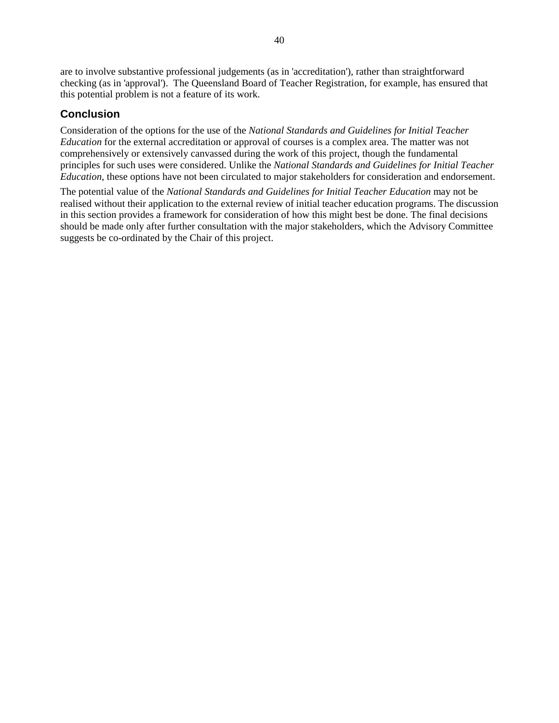are to involve substantive professional judgements (as in 'accreditation'), rather than straightforward checking (as in 'approval'). The Queensland Board of Teacher Registration, for example, has ensured that this potential problem is not a feature of its work.

# **Conclusion**

Consideration of the options for the use of the *National Standards and Guidelines for Initial Teacher Education* for the external accreditation or approval of courses is a complex area. The matter was not comprehensively or extensively canvassed during the work of this project, though the fundamental principles for such uses were considered. Unlike the *National Standards and Guidelines for Initial Teacher Education*, these options have not been circulated to major stakeholders for consideration and endorsement.

The potential value of the *National Standards and Guidelines for Initial Teacher Education* may not be realised without their application to the external review of initial teacher education programs. The discussion in this section provides a framework for consideration of how this might best be done. The final decisions should be made only after further consultation with the major stakeholders, which the Advisory Committee suggests be co-ordinated by the Chair of this project.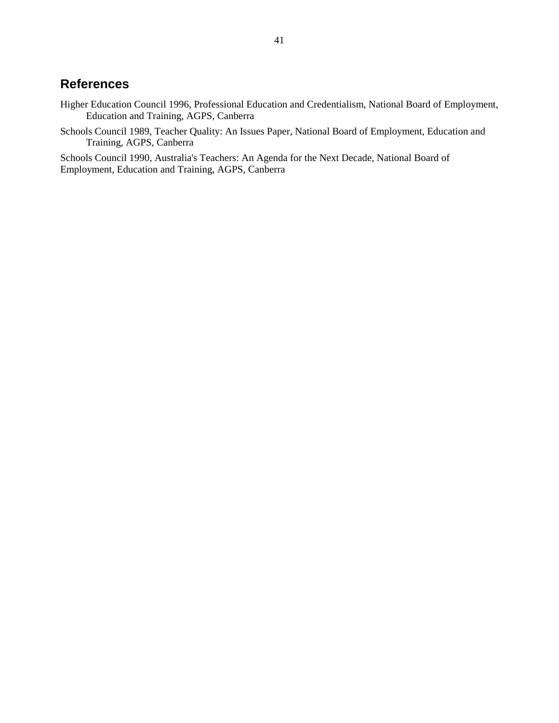# **References**

- Higher Education Council 1996, Professional Education and Credentialism, National Board of Employment, Education and Training, AGPS, Canberra
- Schools Council 1989, Teacher Quality: An Issues Paper, National Board of Employment, Education and Training, AGPS, Canberra

Schools Council 1990, Australia's Teachers: An Agenda for the Next Decade, National Board of Employment, Education and Training, AGPS, Canberra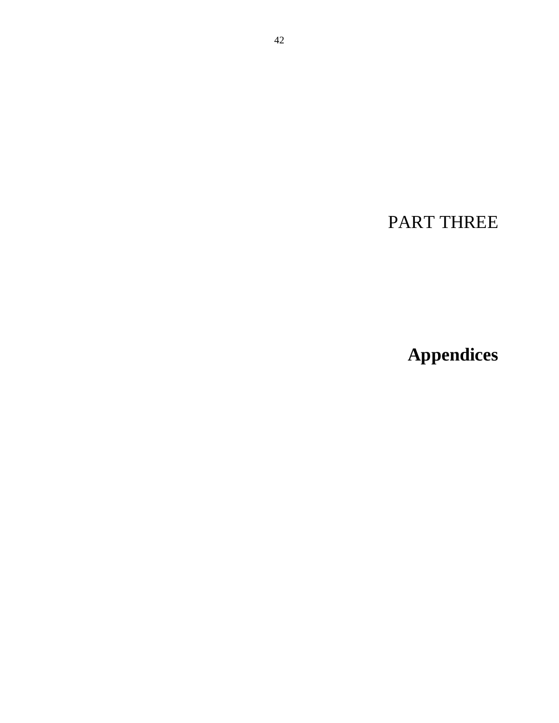PART THREE

**Appendices**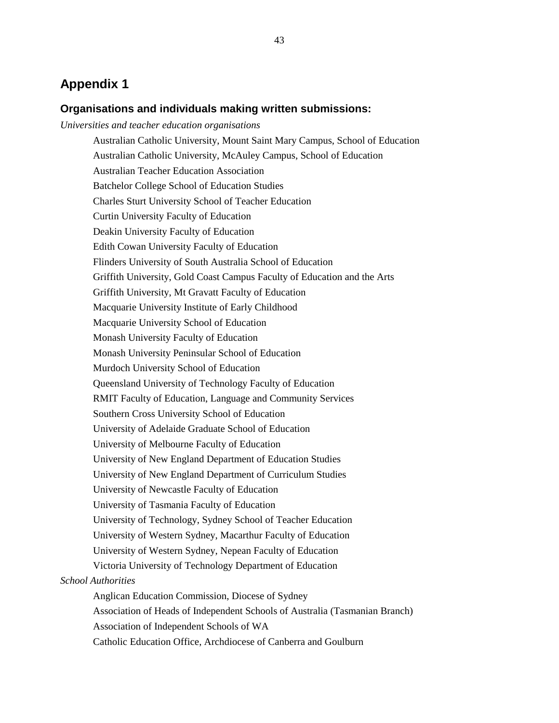# **Appendix 1**

# **Organisations and individuals making written submissions:**

*Universities and teacher education organisations* 

Australian Catholic University, Mount Saint Mary Campus, School of Education Australian Catholic University, McAuley Campus, School of Education Australian Teacher Education Association Batchelor College School of Education Studies Charles Sturt University School of Teacher Education Curtin University Faculty of Education Deakin University Faculty of Education Edith Cowan University Faculty of Education Flinders University of South Australia School of Education Griffith University, Gold Coast Campus Faculty of Education and the Arts Griffith University, Mt Gravatt Faculty of Education Macquarie University Institute of Early Childhood Macquarie University School of Education Monash University Faculty of Education Monash University Peninsular School of Education Murdoch University School of Education Queensland University of Technology Faculty of Education RMIT Faculty of Education, Language and Community Services Southern Cross University School of Education University of Adelaide Graduate School of Education University of Melbourne Faculty of Education University of New England Department of Education Studies University of New England Department of Curriculum Studies University of Newcastle Faculty of Education University of Tasmania Faculty of Education University of Technology, Sydney School of Teacher Education University of Western Sydney, Macarthur Faculty of Education University of Western Sydney, Nepean Faculty of Education Victoria University of Technology Department of Education *School Authorities*  Anglican Education Commission, Diocese of Sydney Association of Heads of Independent Schools of Australia (Tasmanian Branch) Association of Independent Schools of WA Catholic Education Office, Archdiocese of Canberra and Goulburn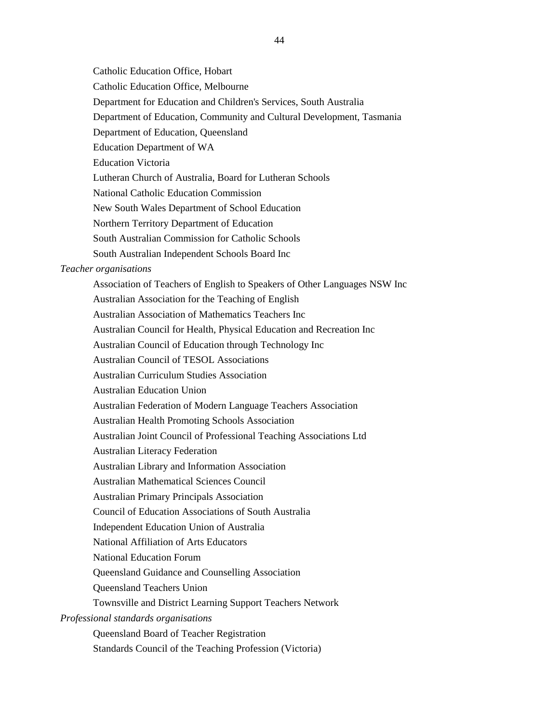Catholic Education Office, Hobart

Catholic Education Office, Melbourne

Department for Education and Children's Services, South Australia

Department of Education, Community and Cultural Development, Tasmania

Department of Education, Queensland

Education Department of WA

Education Victoria

Lutheran Church of Australia, Board for Lutheran Schools

National Catholic Education Commission

New South Wales Department of School Education

Northern Territory Department of Education

South Australian Commission for Catholic Schools

South Australian Independent Schools Board Inc

#### *Teacher organisations*

Association of Teachers of English to Speakers of Other Languages NSW Inc Australian Association for the Teaching of English Australian Association of Mathematics Teachers Inc Australian Council for Health, Physical Education and Recreation Inc Australian Council of Education through Technology Inc Australian Council of TESOL Associations Australian Curriculum Studies Association Australian Education Union Australian Federation of Modern Language Teachers Association Australian Health Promoting Schools Association Australian Joint Council of Professional Teaching Associations Ltd Australian Literacy Federation Australian Library and Information Association Australian Mathematical Sciences Council Australian Primary Principals Association Council of Education Associations of South Australia Independent Education Union of Australia National Affiliation of Arts Educators National Education Forum Queensland Guidance and Counselling Association Queensland Teachers Union Townsville and District Learning Support Teachers Network *Professional standards organisations*  Queensland Board of Teacher Registration Standards Council of the Teaching Profession (Victoria)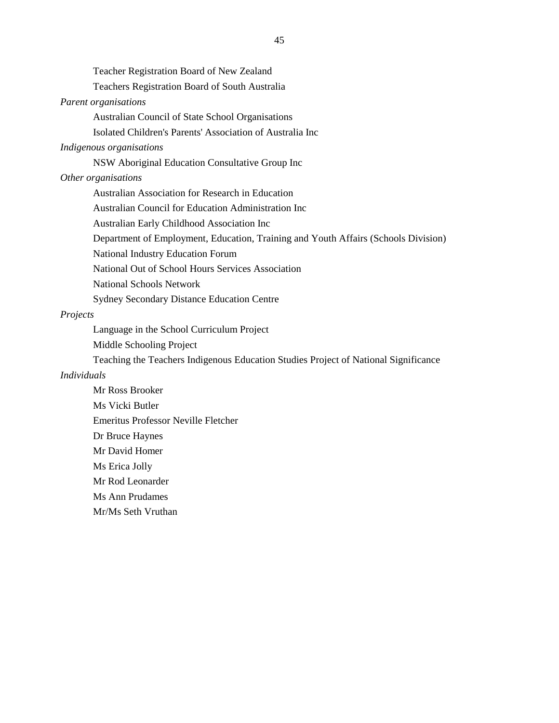Teacher Registration Board of New Zealand

Teachers Registration Board of South Australia

#### *Parent organisations*

Australian Council of State School Organisations

Isolated Children's Parents' Association of Australia Inc

#### *Indigenous organisations*

NSW Aboriginal Education Consultative Group Inc

#### *Other organisations*

Australian Association for Research in Education

Australian Council for Education Administration Inc

Australian Early Childhood Association Inc

Department of Employment, Education, Training and Youth Affairs (Schools Division)

National Industry Education Forum

National Out of School Hours Services Association

National Schools Network

Sydney Secondary Distance Education Centre

#### *Projects*

Language in the School Curriculum Project

Middle Schooling Project

Teaching the Teachers Indigenous Education Studies Project of National Significance

## *Individuals*

Mr Ross Brooker Ms Vicki Butler Emeritus Professor Neville Fletcher Dr Bruce Haynes Mr David Homer Ms Erica Jolly Mr Rod Leonarder Ms Ann Prudames Mr/Ms Seth Vruthan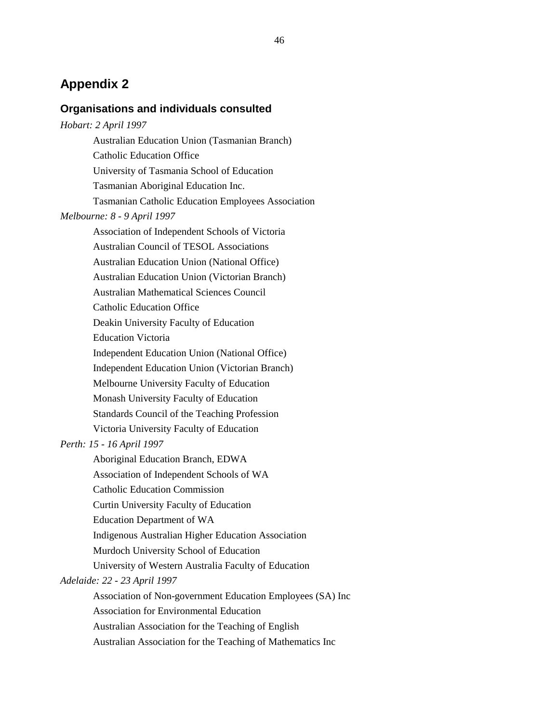# **Appendix 2**

# **Organisations and individuals consulted**

| Hobart: 2 April 1997                                  |
|-------------------------------------------------------|
| <b>Australian Education Union (Tasmanian Branch)</b>  |
| <b>Catholic Education Office</b>                      |
| University of Tasmania School of Education            |
| Tasmanian Aboriginal Education Inc.                   |
| Tasmanian Catholic Education Employees Association    |
| Melbourne: 8 - 9 April 1997                           |
| Association of Independent Schools of Victoria        |
| <b>Australian Council of TESOL Associations</b>       |
| <b>Australian Education Union (National Office)</b>   |
| <b>Australian Education Union (Victorian Branch)</b>  |
| <b>Australian Mathematical Sciences Council</b>       |
| <b>Catholic Education Office</b>                      |
| Deakin University Faculty of Education                |
| <b>Education Victoria</b>                             |
| <b>Independent Education Union (National Office)</b>  |
| <b>Independent Education Union (Victorian Branch)</b> |
| Melbourne University Faculty of Education             |
| Monash University Faculty of Education                |
| Standards Council of the Teaching Profession          |
| Victoria University Faculty of Education              |
| Perth: 15 - 16 April 1997                             |
| Aboriginal Education Branch, EDWA                     |

Association of Independent Schools of WA

Catholic Education Commission

Curtin University Faculty of Education

Education Department of WA

Indigenous Australian Higher Education Association

Murdoch University School of Education

University of Western Australia Faculty of Education

#### *Adelaide: 22 - 23 April 1997*

Association of Non-government Education Employees (SA) Inc

Association for Environmental Education

Australian Association for the Teaching of English

Australian Association for the Teaching of Mathematics Inc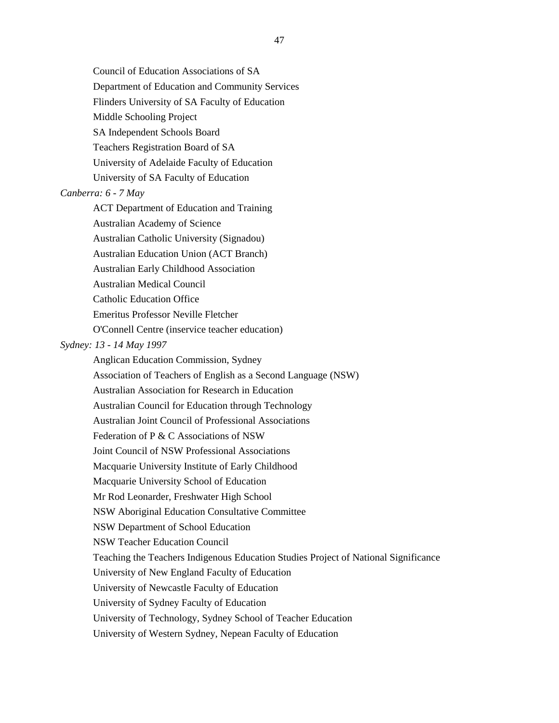Council of Education Associations of SA

Department of Education and Community Services

Flinders University of SA Faculty of Education

Middle Schooling Project

SA Independent Schools Board

Teachers Registration Board of SA

University of Adelaide Faculty of Education

University of SA Faculty of Education

#### *Canberra: 6 - 7 May*

ACT Department of Education and Training

Australian Academy of Science

Australian Catholic University (Signadou)

Australian Education Union (ACT Branch)

Australian Early Childhood Association

Australian Medical Council

Catholic Education Office

Emeritus Professor Neville Fletcher

O'Connell Centre (inservice teacher education)

#### *Sydney: 13 - 14 May 1997*

Anglican Education Commission, Sydney

Association of Teachers of English as a Second Language (NSW)

Australian Association for Research in Education

Australian Council for Education through Technology

Australian Joint Council of Professional Associations

Federation of P & C Associations of NSW

Joint Council of NSW Professional Associations

Macquarie University Institute of Early Childhood

Macquarie University School of Education

Mr Rod Leonarder, Freshwater High School

NSW Aboriginal Education Consultative Committee

NSW Department of School Education

NSW Teacher Education Council

Teaching the Teachers Indigenous Education Studies Project of National Significance

University of New England Faculty of Education

University of Newcastle Faculty of Education

University of Sydney Faculty of Education

University of Technology, Sydney School of Teacher Education

University of Western Sydney, Nepean Faculty of Education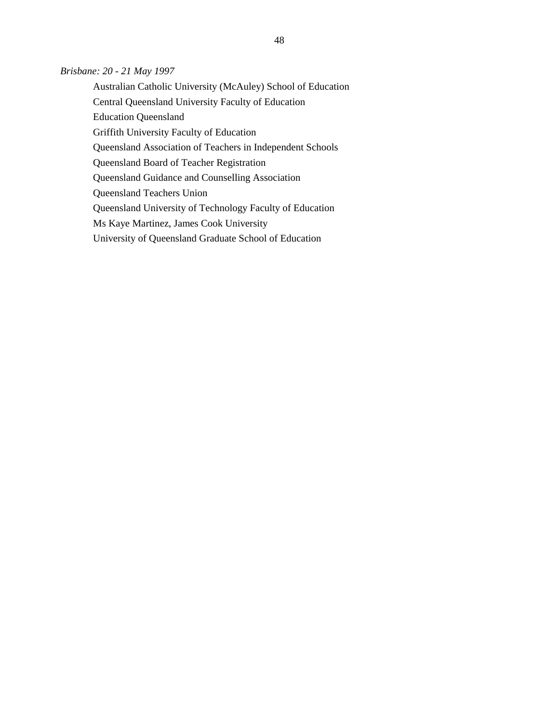## *Brisbane: 20 - 21 May 1997*

Australian Catholic University (McAuley) School of Education Central Queensland University Faculty of Education Education Queensland Griffith University Faculty of Education Queensland Association of Teachers in Independent Schools Queensland Board of Teacher Registration Queensland Guidance and Counselling Association Queensland Teachers Union Queensland University of Technology Faculty of Education Ms Kaye Martinez, James Cook University University of Queensland Graduate School of Education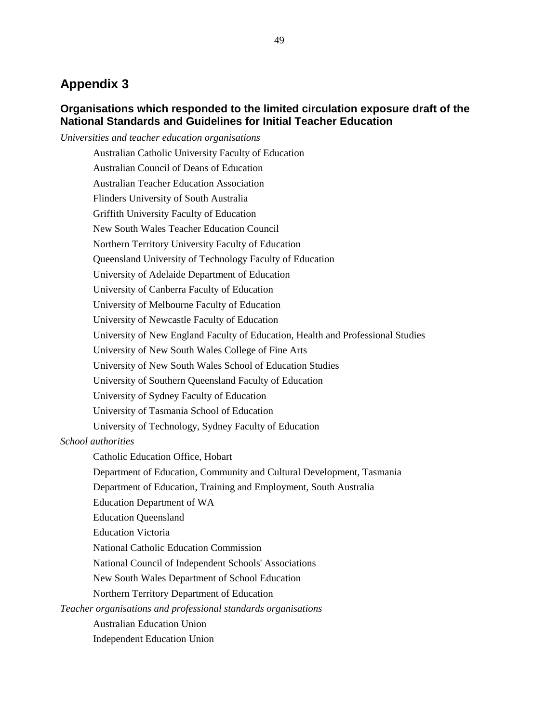# **Appendix 3**

# **Organisations which responded to the limited circulation exposure draft of the National Standards and Guidelines for Initial Teacher Education**

*Universities and teacher education organisations* 

Australian Catholic University Faculty of Education Australian Council of Deans of Education Australian Teacher Education Association Flinders University of South Australia Griffith University Faculty of Education New South Wales Teacher Education Council Northern Territory University Faculty of Education Queensland University of Technology Faculty of Education University of Adelaide Department of Education University of Canberra Faculty of Education University of Melbourne Faculty of Education University of Newcastle Faculty of Education University of New England Faculty of Education, Health and Professional Studies University of New South Wales College of Fine Arts University of New South Wales School of Education Studies University of Southern Queensland Faculty of Education University of Sydney Faculty of Education University of Tasmania School of Education University of Technology, Sydney Faculty of Education *School authorities*  Catholic Education Office, Hobart Department of Education, Community and Cultural Development, Tasmania Department of Education, Training and Employment, South Australia Education Department of WA

Education Queensland

Education Victoria

National Catholic Education Commission

National Council of Independent Schools' Associations

New South Wales Department of School Education

Northern Territory Department of Education

*Teacher organisations and professional standards organisations* 

Australian Education Union

Independent Education Union